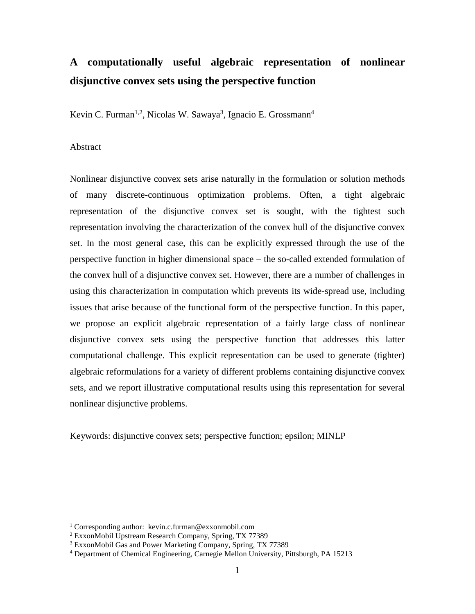# **A computationally useful algebraic representation of nonlinear disjunctive convex sets using the perspective function**

Kevin C. Furman<sup>1,2</sup>, Nicolas W. Sawaya<sup>3</sup>, Ignacio E. Grossmann<sup>4</sup>

#### Abstract

 $\overline{a}$ 

Nonlinear disjunctive convex sets arise naturally in the formulation or solution methods of many discrete-continuous optimization problems. Often, a tight algebraic representation of the disjunctive convex set is sought, with the tightest such representation involving the characterization of the convex hull of the disjunctive convex set. In the most general case, this can be explicitly expressed through the use of the perspective function in higher dimensional space – the so-called extended formulation of the convex hull of a disjunctive convex set. However, there are a number of challenges in using this characterization in computation which prevents its wide-spread use, including issues that arise because of the functional form of the perspective function. In this paper, we propose an explicit algebraic representation of a fairly large class of nonlinear disjunctive convex sets using the perspective function that addresses this latter computational challenge. This explicit representation can be used to generate (tighter) algebraic reformulations for a variety of different problems containing disjunctive convex sets, and we report illustrative computational results using this representation for several nonlinear disjunctive problems.

Keywords: disjunctive convex sets; perspective function; epsilon; MINLP

<sup>1</sup> Corresponding author: kevin.c.furman@exxonmobil.com

<sup>2</sup> ExxonMobil Upstream Research Company, Spring, TX 77389

<sup>&</sup>lt;sup>3</sup> ExxonMobil Gas and Power Marketing Company, Spring, TX 77389

<sup>4</sup> Department of Chemical Engineering, Carnegie Mellon University, Pittsburgh, PA 15213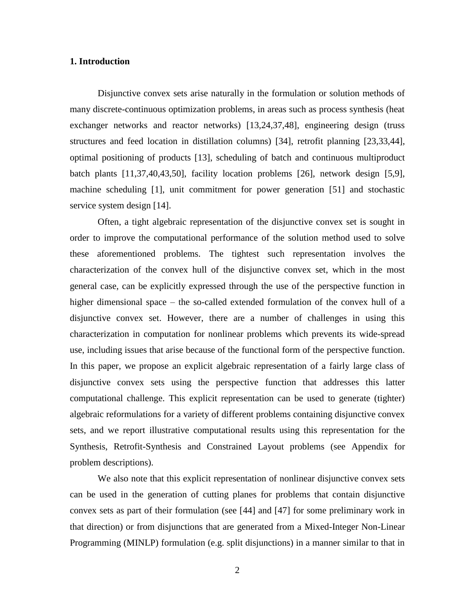# **1. Introduction**

Disjunctive convex sets arise naturally in the formulation or solution methods of many discrete-continuous optimization problems, in areas such as process synthesis (heat exchanger networks and reactor networks) [13,24,37,48], engineering design (truss structures and feed location in distillation columns) [34], retrofit planning [23,33,44], optimal positioning of products [13], scheduling of batch and continuous multiproduct batch plants [11,37,40,43,50], facility location problems [26], network design [5,9], machine scheduling [1], unit commitment for power generation [51] and stochastic service system design [14].

Often, a tight algebraic representation of the disjunctive convex set is sought in order to improve the computational performance of the solution method used to solve these aforementioned problems. The tightest such representation involves the characterization of the convex hull of the disjunctive convex set, which in the most general case, can be explicitly expressed through the use of the perspective function in higher dimensional space – the so-called extended formulation of the convex hull of a disjunctive convex set. However, there are a number of challenges in using this characterization in computation for nonlinear problems which prevents its wide-spread use, including issues that arise because of the functional form of the perspective function. In this paper, we propose an explicit algebraic representation of a fairly large class of disjunctive convex sets using the perspective function that addresses this latter computational challenge. This explicit representation can be used to generate (tighter) algebraic reformulations for a variety of different problems containing disjunctive convex sets, and we report illustrative computational results using this representation for the Synthesis, Retrofit-Synthesis and Constrained Layout problems (see Appendix for problem descriptions).

We also note that this explicit representation of nonlinear disjunctive convex sets can be used in the generation of cutting planes for problems that contain disjunctive convex sets as part of their formulation (see [44] and [47] for some preliminary work in that direction) or from disjunctions that are generated from a Mixed-Integer Non-Linear Programming (MINLP) formulation (e.g. split disjunctions) in a manner similar to that in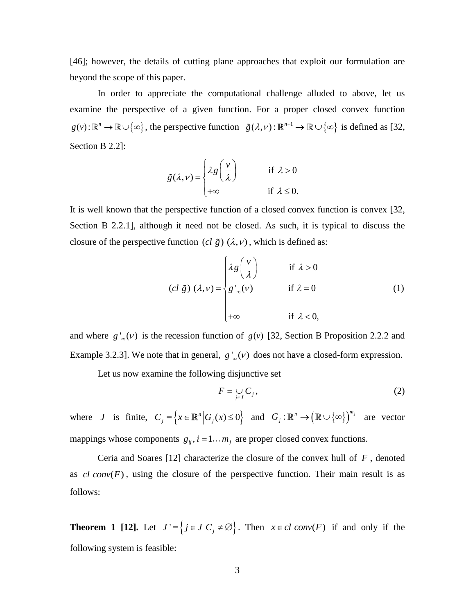[46]; however, the details of cutting plane approaches that exploit our formulation are beyond the scope of this paper.

In order to appreciate the computational challenge alluded to above, let us examine the perspective of a given function. For a proper closed convex function  $g(v): \mathbb{R}^n \to \mathbb{R} \cup \{\infty\}$ , the perspective function  $\tilde{g}(\lambda, v): \mathbb{R}^{n+1} \to \mathbb{R} \cup \{\infty\}$  is defined as [32, Section B 2.2]:

$$
\tilde{g}(\lambda, \nu) = \begin{cases} \lambda g\left(\frac{\nu}{\lambda}\right) & \text{if } \lambda > 0 \\ +\infty & \text{if } \lambda \leq 0. \end{cases}
$$

It is well known that the perspective function of a closed convex function is convex [32, Section B 2.2.1], although it need not be closed. As such, it is typical to discuss the

closure of the perspective function 
$$
(cl \tilde{g}) (\lambda, \nu)
$$
, which is defined as:  
\n
$$
(cl \tilde{g}) (\lambda, \nu) =\begin{cases}\n\lambda g \left(\frac{\nu}{\lambda}\right) & \text{if } \lambda > 0 \\
g'_{\infty}(\nu) & \text{if } \lambda = 0 \\
+\infty & \text{if } \lambda < 0,\n\end{cases}
$$
\n(1)

and where  $g'_{\infty}(v)$  is the recession function of  $g(v)$  [32, Section B Proposition 2.2.2 and Example 3.2.3]. We note that in general,  $g'_{\infty}(\nu)$  does not have a closed-form expression.

Let us now examine the following disjunctive set

$$
F = \bigcup_{j \in J} C_j,\tag{2}
$$

where *J* is finite,  $C_j = \left\{ x \in \mathbb{R}^n \middle| G_j(x) \le 0 \right\}$  and  $G_j : \mathbb{R}^n \to \left( \mathbb{R} \cup \{ \infty \} \right)^{m_j}$  are vector mappings whose components  $g_{ij}$ ,  $i = 1...m_j$  are proper closed convex functions.

Ceria and Soares [12] characterize the closure of the convex hull of *F* , denoted as  $cl \text{ conv}(F)$ , using the closure of the perspective function. Their main result is as follows:

**Theorem 1 [12].** Let  $J' = \{ j \in J | C_j \neq \emptyset \}$ . Then  $x \in cl \text{ conv}(F)$  if and only if the following system is feasible: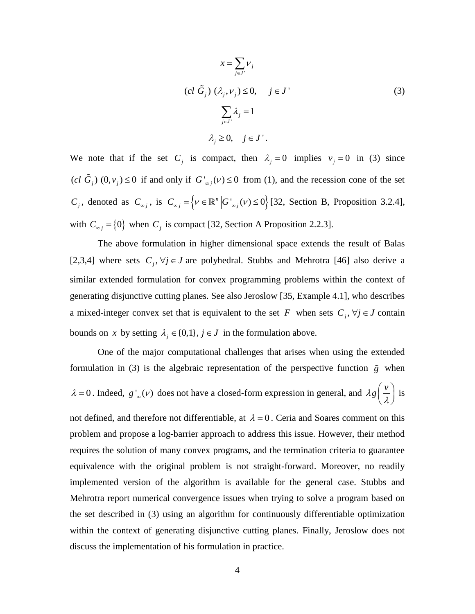$$
x = \sum_{j \in J'} v_j
$$
  
\n
$$
(cl \tilde{G}_j) (\lambda_j, v_j) \le 0, \quad j \in J'
$$
  
\n
$$
\sum_{j \in J'} \lambda_j = 1
$$
  
\n
$$
\lambda_j \ge 0, \quad j \in J'.
$$
  
\n(3)

We note that if the set  $C_j$  is compact, then  $\lambda_j = 0$  implies  $v_j = 0$  in (3) since  $(cl\tilde{G}_j)$   $(0, v_j) \le 0$  if and only if  $G'_{\infty j}(v) \le 0$  from (1), and the recession cone of the set  $C_j$ , denoted as  $C_{\infty j}$ , is  $C_{\infty j} = \left\{ v \in \mathbb{R}^n \middle| G'_{\infty j}(v) \le 0 \right\}$  [32, Section B, Proposition 3.2.4], with  $C_{\infty j} = \{0\}$  when  $C_j$  is compact [32, Section A Proposition 2.2.3].

The above formulation in higher dimensional space extends the result of Balas [2,3,4] where sets  $C_j$ ,  $\forall j \in J$  are polyhedral. Stubbs and Mehrotra [46] also derive a similar extended formulation for convex programming problems within the context of generating disjunctive cutting planes. See also Jeroslow [35, Example 4.1], who describes a mixed-integer convex set that is equivalent to the set F when sets  $C_j$ ,  $\forall j \in J$  contain bounds on x by setting  $\lambda_j \in \{0,1\}$ ,  $j \in J$  in the formulation above.

One of the major computational challenges that arises when using the extended formulation in (3) is the algebraic representation of the perspective function  $\tilde{g}$  when  $\lambda = 0$ . Indeed,  $g'_{\infty}(\nu)$  does not have a closed-form expression in general, and  $\lambda g\left(\frac{\nu}{\lambda}\right)$  is not defined, and therefore not differentiable, at  $\lambda = 0$ . Ceria and Soares comment on this problem and propose a log-barrier approach to address this issue. However, their method requires the solution of many convex programs, and the termination criteria to guarantee equivalence with the original problem is not straight-forward. Moreover, no readily implemented version of the algorithm is available for the general case. Stubbs and Mehrotra report numerical convergence issues when trying to solve a program based on the set described in (3) using an algorithm for continuously differentiable optimization within the context of generating disjunctive cutting planes. Finally, Jeroslow does not discuss the implementation of his formulation in practice.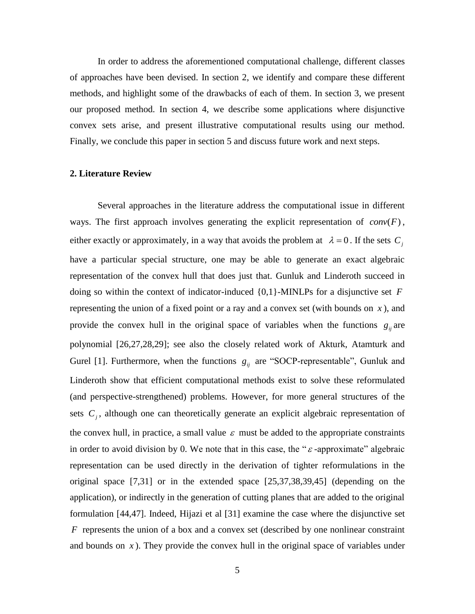In order to address the aforementioned computational challenge, different classes of approaches have been devised. In section 2, we identify and compare these different methods, and highlight some of the drawbacks of each of them. In section 3, we present our proposed method. In section 4, we describe some applications where disjunctive convex sets arise, and present illustrative computational results using our method. Finally, we conclude this paper in section 5 and discuss future work and next steps.

#### **2. Literature Review**

Several approaches in the literature address the computational issue in different ways. The first approach involves generating the explicit representation of  $conv(F)$ , either exactly or approximately, in a way that avoids the problem at  $\lambda = 0$ . If the sets  $C_j$ have a particular special structure, one may be able to generate an exact algebraic representation of the convex hull that does just that. Gunluk and Linderoth succeed in doing so within the context of indicator-induced {0,1}-MINLPs for a disjunctive set *F* representing the union of a fixed point or a ray and a convex set (with bounds on *x* ), and provide the convex hull in the original space of variables when the functions  $g_{ij}$  are polynomial [26,27,28,29]; see also the closely related work of Akturk, Atamturk and Gurel [1]. Furthermore, when the functions  $g_{ij}$  are "SOCP-representable", Gunluk and Linderoth show that efficient computational methods exist to solve these reformulated (and perspective-strengthened) problems. However, for more general structures of the sets  $C_j$ , although one can theoretically generate an explicit algebraic representation of the convex hull, in practice, a small value  $\varepsilon$  must be added to the appropriate constraints in order to avoid division by 0. We note that in this case, the " $\varepsilon$ -approximate" algebraic representation can be used directly in the derivation of tighter reformulations in the original space [7,31] or in the extended space [25,37,38,39,45] (depending on the application), or indirectly in the generation of cutting planes that are added to the original formulation [44,47]. Indeed, Hijazi et al [31] examine the case where the disjunctive set *F* represents the union of a box and a convex set (described by one nonlinear constraint and bounds on  $x$ ). They provide the convex hull in the original space of variables under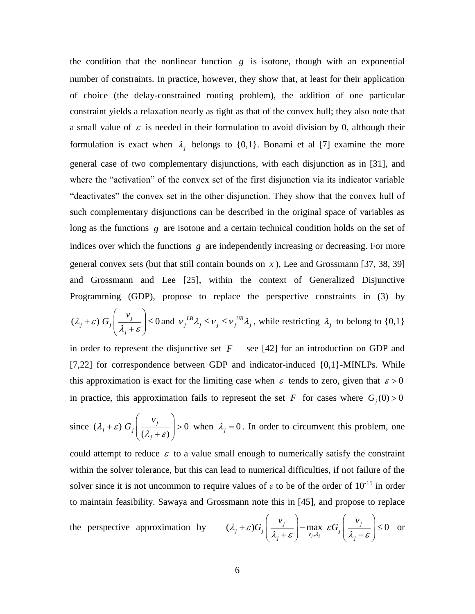the condition that the nonlinear function  $g$  is isotone, though with an exponential number of constraints. In practice, however, they show that, at least for their application of choice (the delay-constrained routing problem), the addition of one particular constraint yields a relaxation nearly as tight as that of the convex hull; they also note that a small value of  $\varepsilon$  is needed in their formulation to avoid division by 0, although their formulation is exact when  $\lambda_j$  belongs to {0,1}. Bonami et al [7] examine the more general case of two complementary disjunctions, with each disjunction as in [31], and where the "activation" of the convex set of the first disjunction via its indicator variable "deactivates" the convex set in the other disjunction. They show that the convex hull of such complementary disjunctions can be described in the original space of variables as long as the functions g are isotone and a certain technical condition holds on the set of indices over which the functions *g* are independently increasing or decreasing. For more general convex sets (but that still contain bounds on  $x$ ), Lee and Grossmann [37, 38, 39] and Grossmann and Lee [25], within the context of Generalized Disjunctive Programming (GDP), propose to replace the perspective constraints in (3) by

$$
(\lambda_j + \varepsilon) G_j \left( \frac{v_j}{\lambda_j + \varepsilon} \right) \le 0 \text{ and } v_j^{LB} \lambda_j \le v_j \le v_j^{UB} \lambda_j \text{, while restricting } \lambda_j \text{ to belong to } \{0, 1\}
$$

in order to represent the disjunctive set  $F$  – see [42] for an introduction on GDP and [7,22] for correspondence between GDP and indicator-induced  $\{0,1\}$ -MINLPs. While this approximation is exact for the limiting case when  $\varepsilon$  tends to zero, given that  $\varepsilon > 0$ in practice, this approximation fails to represent the set F for cases where  $G_j(0) > 0$ 

since 
$$
(\lambda_j + \varepsilon) G_j \left( \frac{v_j}{(\lambda_j + \varepsilon)} \right) > 0
$$
 when  $\lambda_j = 0$ . In order to circumvent this problem, one

could attempt to reduce  $\varepsilon$  to a value small enough to numerically satisfy the constraint within the solver tolerance, but this can lead to numerical difficulties, if not failure of the solver since it is not uncommon to require values of  $\varepsilon$  to be of the order of 10<sup>-15</sup> in order

to maintain feasibility. Sawaya and Grossmann note this in [45], and propose to replace  
the perspective approximation by 
$$
(\lambda_j + \varepsilon)G_j \left(\frac{v_j}{\lambda_j + \varepsilon}\right) - \max_{v_j, \lambda_j} \varepsilon G_j \left(\frac{v_j}{\lambda_j + \varepsilon}\right) \le 0
$$
 or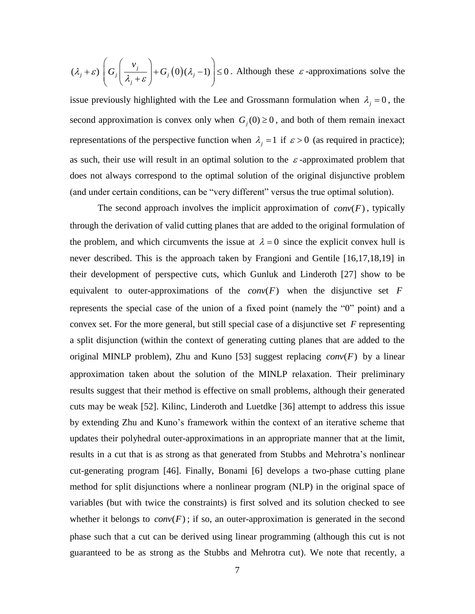$$
(\lambda_j + \varepsilon) \left( G_j \left( \frac{v_j}{\lambda_j + \varepsilon} \right) + G_j \left( 0 \right) (\lambda_j - 1) \right) \le 0.
$$
 Although these  $\varepsilon$ -approximations solve the

issue previously highlighted with the Lee and Grossmann formulation when  $\lambda_j = 0$ , the second approximation is convex only when  $G_j(0) \ge 0$ , and both of them remain inexact representations of the perspective function when  $\lambda_j = 1$  if  $\varepsilon > 0$  (as required in practice); as such, their use will result in an optimal solution to the  $\varepsilon$ -approximated problem that does not always correspond to the optimal solution of the original disjunctive problem (and under certain conditions, can be "very different" versus the true optimal solution).

The second approach involves the implicit approximation of  $conv(F)$ , typically through the derivation of valid cutting planes that are added to the original formulation of the problem, and which circumvents the issue at  $\lambda = 0$  since the explicit convex hull is never described. This is the approach taken by Frangioni and Gentile [16,17,18,19] in their development of perspective cuts, which Gunluk and Linderoth [27] show to be equivalent to outer-approximations of the  $conv(F)$  when the disjunctive set F represents the special case of the union of a fixed point (namely the "0" point) and a convex set. For the more general, but still special case of a disjunctive set *F* representing a split disjunction (within the context of generating cutting planes that are added to the original MINLP problem), Zhu and Kuno [53] suggest replacing  $conv(F)$  by a linear approximation taken about the solution of the MINLP relaxation. Their preliminary results suggest that their method is effective on small problems, although their generated cuts may be weak [52]. Kilinc, Linderoth and Luetdke [36] attempt to address this issue by extending Zhu and Kuno's framework within the context of an iterative scheme that updates their polyhedral outer-approximations in an appropriate manner that at the limit, results in a cut that is as strong as that generated from Stubbs and Mehrotra's nonlinear cut-generating program [46]. Finally, Bonami [6] develops a two-phase cutting plane method for split disjunctions where a nonlinear program (NLP) in the original space of variables (but with twice the constraints) is first solved and its solution checked to see whether it belongs to  $conv(F)$ ; if so, an outer-approximation is generated in the second phase such that a cut can be derived using linear programming (although this cut is not guaranteed to be as strong as the Stubbs and Mehrotra cut). We note that recently, a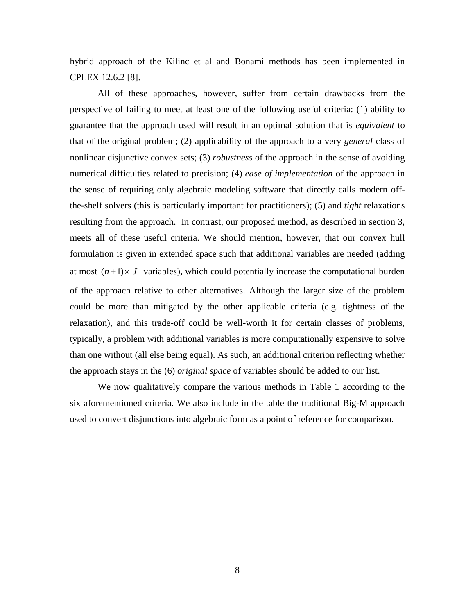hybrid approach of the Kilinc et al and Bonami methods has been implemented in CPLEX 12.6.2 [8].

All of these approaches, however, suffer from certain drawbacks from the perspective of failing to meet at least one of the following useful criteria: (1) ability to guarantee that the approach used will result in an optimal solution that is *equivalent* to that of the original problem; (2) applicability of the approach to a very *general* class of nonlinear disjunctive convex sets; (3) *robustness* of the approach in the sense of avoiding numerical difficulties related to precision; (4) *ease of implementation* of the approach in the sense of requiring only algebraic modeling software that directly calls modern offthe-shelf solvers (this is particularly important for practitioners); (5) and *tight* relaxations resulting from the approach. In contrast, our proposed method, as described in section 3, meets all of these useful criteria. We should mention, however, that our convex hull formulation is given in extended space such that additional variables are needed (adding at most  $(n+1) \times |J|$  variables), which could potentially increase the computational burden of the approach relative to other alternatives. Although the larger size of the problem could be more than mitigated by the other applicable criteria (e.g. tightness of the relaxation), and this trade-off could be well-worth it for certain classes of problems, typically, a problem with additional variables is more computationally expensive to solve than one without (all else being equal). As such, an additional criterion reflecting whether the approach stays in the (6) *original space* of variables should be added to our list.

We now qualitatively compare the various methods in Table 1 according to the six aforementioned criteria. We also include in the table the traditional Big-M approach used to convert disjunctions into algebraic form as a point of reference for comparison.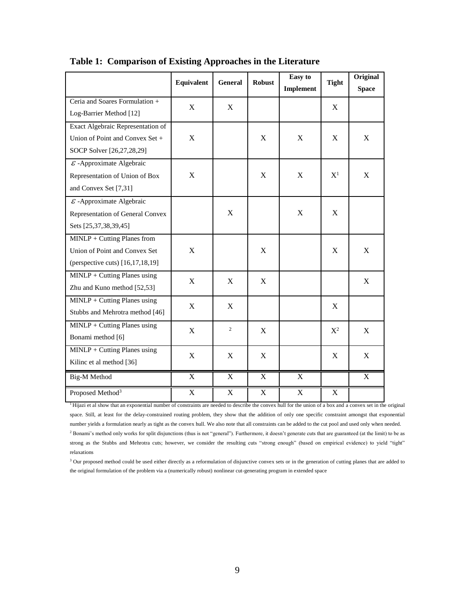|                                                                                                            | Equivalent  | <b>General</b> | <b>Robust</b> | Easy to<br>Implement      | <b>Tight</b>              | Original<br><b>Space</b> |
|------------------------------------------------------------------------------------------------------------|-------------|----------------|---------------|---------------------------|---------------------------|--------------------------|
| Ceria and Soares Formulation +<br>Log-Barrier Method [12]                                                  | X           | X              |               |                           | X                         |                          |
| Exact Algebraic Representation of<br>Union of Point and Convex Set +<br>SOCP Solver [26,27,28,29]          | X           |                | X             | X                         | X                         | X                        |
| $\overline{\mathcal{E}}$ -Approximate Algebraic<br>Representation of Union of Box<br>and Convex Set [7,31] | X           |                | X             | X                         | $\mathrm{X}^1$            | X                        |
| $\mathcal E$ -Approximate Algebraic<br>Representation of General Convex<br>Sets [25,37,38,39,45]           |             | X              |               | $\boldsymbol{\mathrm{X}}$ | $\boldsymbol{\mathrm{X}}$ |                          |
| MINLP + Cutting Planes from<br>Union of Point and Convex Set<br>(perspective cuts) [16,17,18,19]           | X           |                | X             |                           | X                         | X                        |
| $MINLP + Cutting$ Planes using<br>Zhu and Kuno method [52,53]                                              | X           | X              | X             |                           |                           | X                        |
| $MINLP + Cutting$ Planes using<br>Stubbs and Mehrotra method [46]                                          | X           | X              |               |                           | X                         |                          |
| $MINLP + Cutting$ Planes using<br>Bonami method [6]                                                        | X           | $\overline{c}$ | X             |                           | $X^2$                     | X                        |
| MINLP + Cutting Planes using<br>Kilinc et al method [36]                                                   | X           | X              | X             |                           | X                         | X                        |
| <b>Big-M Method</b>                                                                                        | $\mathbf X$ | $\mathbf X$    | $\mathbf X$   | $\mathbf X$               |                           | X                        |
| Proposed Method <sup>3</sup>                                                                               | $\mathbf X$ | $\mathbf X$    | $\mathbf X$   | $\boldsymbol{\mathrm{X}}$ | $\boldsymbol{\mathrm{X}}$ |                          |

**Table 1: Comparison of Existing Approaches in the Literature** 

<sup>1</sup>Hijazi et al show that an exponential number of constraints are needed to describe the convex hull for the union of a box and a convex set in the original space. Still, at least for the delay-constrained routing problem, they show that the addition of only one specific constraint amongst that exponential number yields a formulation nearly as tight as the convex hull. We also note that all constraints can be added to the cut pool and used only when needed.  $2$  Bonami's method only works for split disjunctions (thus is not "general"). Furthermore, it doesn't generate cuts that are guaranteed (at the limit) to be as strong as the Stubbs and Mehrotra cuts; however, we consider the resulting cuts "strong enough" (based on empirical evidence) to yield "tight" relaxations

<sup>3</sup> Our proposed method could be used either directly as a reformulation of disjunctive convex sets or in the generation of cutting planes that are added to the original formulation of the problem via a (numerically robust) nonlinear cut-generating program in extended space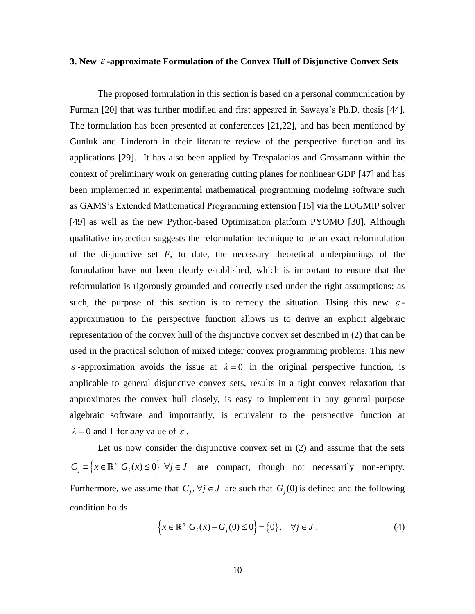#### **3. New -approximate Formulation of the Convex Hull of Disjunctive Convex Sets**

The proposed formulation in this section is based on a personal communication by Furman [20] that was further modified and first appeared in Sawaya's Ph.D. thesis [44]. The formulation has been presented at conferences [21,22], and has been mentioned by Gunluk and Linderoth in their literature review of the perspective function and its applications [29]. It has also been applied by Trespalacios and Grossmann within the context of preliminary work on generating cutting planes for nonlinear GDP [47] and has been implemented in experimental mathematical programming modeling software such as GAMS's Extended Mathematical Programming extension [15] via the LOGMIP solver [49] as well as the new Python-based Optimization platform PYOMO [30]. Although qualitative inspection suggests the reformulation technique to be an exact reformulation of the disjunctive set *F*, to date, the necessary theoretical underpinnings of the formulation have not been clearly established, which is important to ensure that the reformulation is rigorously grounded and correctly used under the right assumptions; as such, the purpose of this section is to remedy the situation. Using this new  $\varepsilon$ approximation to the perspective function allows us to derive an explicit algebraic representation of the convex hull of the disjunctive convex set described in (2) that can be used in the practical solution of mixed integer convex programming problems. This new  $\varepsilon$ -approximation avoids the issue at  $\lambda = 0$  in the original perspective function, is applicable to general disjunctive convex sets, results in a tight convex relaxation that approximates the convex hull closely, is easy to implement in any general purpose algebraic software and importantly, is equivalent to the perspective function at  $\lambda = 0$  and 1 for *any* value of  $\varepsilon$ .

Let us now consider the disjunctive convex set in (2) and assume that the sets  $C_j = \left\{ x \in \mathbb{R}^n \middle| G_j(x) \le 0 \right\} \ \forall j \in J$  are compact, though not necessarily non-empty. Furthermore, we assume that  $C_j$ ,  $\forall j \in J$  are such that  $G_j(0)$  is defined and the following condition holds

$$
\left\{ x \in \mathbb{R}^n \middle| G_j(x) - G_j(0) \le 0 \right\} = \left\{ 0 \right\}, \quad \forall j \in J.
$$
 (4)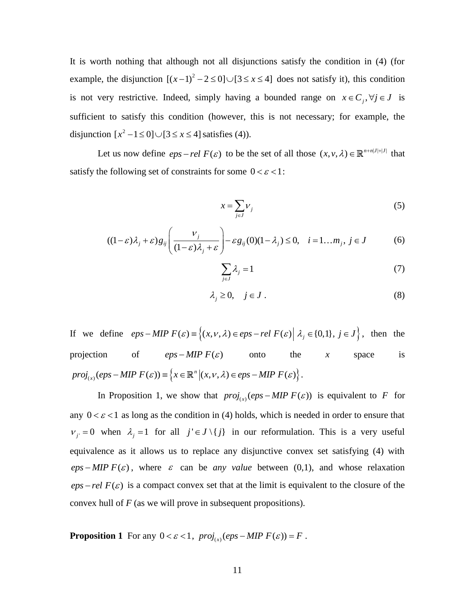It is worth nothing that although not all disjunctions satisfy the condition in (4) (for example, the disjunction  $[(x-1)^2]$  $[(x-1)^2 - 2 \le 0] \cup [3 \le x \le 4]$  does not satisfy it), this condition is not very restrictive. Indeed, simply having a bounded range on  $x \in C_j$ ,  $\forall j \in J$  is sufficient to satisfy this condition (however, this is not necessary; for example, the disjunction  $[x^2 - 1 \le 0] \cup [3 \le x \le 4]$  satisfies (4)).

Let us now define  $eps$  – rel  $F(\varepsilon)$  to be the set of all those  $(x, v, \lambda) \in \mathbb{R}^{n+n|J|+|J|}$  that satisfy the following set of constraints for some  $0 < \varepsilon < 1$ :

$$
x = \sum_{j \in J} V_j \tag{5}
$$

$$
x = \sum_{j \in J} V_j
$$
(5)  

$$
((1 - \varepsilon)\lambda_j + \varepsilon)g_{ij}\left(\frac{V_j}{(1 - \varepsilon)\lambda_j + \varepsilon}\right) - \varepsilon g_{ij}(0)(1 - \lambda_j) \le 0, \quad i = 1...m_j, j \in J
$$
(6)

$$
\sum_{j \in J} \lambda_j = 1 \tag{7}
$$

$$
\lambda_j \ge 0, \quad j \in J \ . \tag{8}
$$

If we define  $eps-MIP F(\varepsilon) = \{(x, v, \lambda) \in eps-rel F(\varepsilon) \mid \lambda_j \in \{0,1\}, j \in J\}$ , then the projection of  $eps-MIP F(\varepsilon)$  onto the  $x$  space is (continuous of  $eps-MIP F(\varepsilon)$  onto the <br>  $\mathcal{L}_{(x)}(eps-MIP F(\varepsilon)) \equiv \{x \in \mathbb{R}^n | (x, v, \lambda) \in eps-MIP F(\varepsilon) \}.$ *n* projection of  $eps-MIP F(\varepsilon)$  onto the *z*<br>  $proj_{(x)}(eps-MIP F(\varepsilon)) \equiv \{x \in \mathbb{R}^n | (x, v, \lambda) \in eps-MIP F(\varepsilon) \}.$ 

In Proposition 1, we show that  $proj_{(x)}(eps-MIP F(\varepsilon))$  is equivalent to F for any  $0 < \varepsilon < 1$  as long as the condition in (4) holds, which is needed in order to ensure that  $v_j = 0$  when  $\lambda_j = 1$  for all  $j' \in J \setminus \{j\}$  in our reformulation. This is a very useful equivalence as it allows us to replace any disjunctive convex set satisfying (4) with  $eps-MIP F(\varepsilon)$ , where  $\varepsilon$  can be *any value* between (0,1), and whose relaxation  $eps$  - rel  $F(\varepsilon)$  is a compact convex set that at the limit is equivalent to the closure of the convex hull of *F* (as we will prove in subsequent propositions).

**Proposition 1** For any  $0 < \varepsilon < 1$ ,  $proj_{(x)}(eps - MIP F(\varepsilon)) = F$ .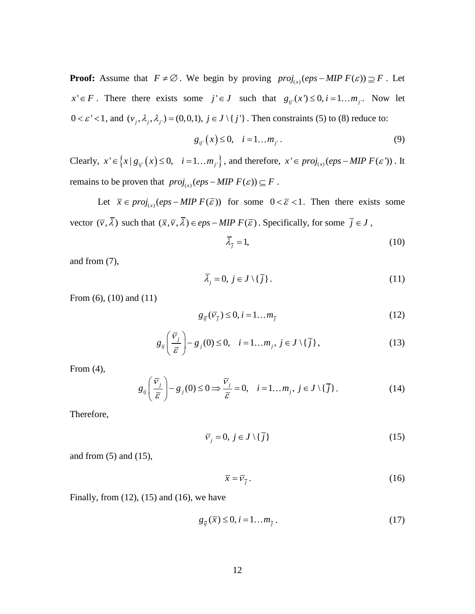**Proof:** Assume that  $F \neq \emptyset$ . We begin by proving  $proj_{(x)}(eps-MIP F(\varepsilon)) \supseteq F$ . Let  $x' \in F$ . There there exists some  $j' \in J$  such that  $g_{ij'}(x') \le 0, i = 1...m_j$ . Now let  $0 < \varepsilon' < 1$ , and  $(v_j, \lambda_j, \lambda_j) = (0, 0, 1), j \in J \setminus \{j'\}$ . Then constraints (5) to (8) reduce to:

$$
g_{ij'}(x) \le 0, \quad i = 1...m_{j'}.
$$
 (9)

Clearly,  $x' \in \left\{ x \mid g_{ij'}(x) \le 0, \quad i = 1...m_{j'} \right\}$ , and therefore,  $x' \in proj_{(x)}(eps-MIPF(\varepsilon'))$ . It remains to be proven that  $proj_{(x)}(eps-MIP F(\varepsilon)) \subseteq F$ .

Let  $\bar{x} \in proj_{(x)}(eps-MIP F(\bar{\varepsilon}))$  for some  $0 < \bar{\varepsilon} < 1$ . Then there exists some vector  $(\overline{v}, \overline{\lambda})$  such that  $(\overline{x}, \overline{v}, \overline{\lambda}) \in eps-MIP F(\overline{\varepsilon})$ . Specifically, for some  $\overline{j} \in J$ ,

$$
\bar{\lambda}_{\bar{j}} = 1,\tag{10}
$$

and from (7),

$$
\bar{\lambda}_j = 0, \ j \in J \setminus \{ \bar{j} \} \,. \tag{11}
$$

From (6), (10) and (11)

$$
g_{\bar{j}}(\bar{V}_{\bar{j}}) \le 0, i = 1...m_{\bar{j}} \tag{12}
$$

$$
s_{ij}(v_j) = 0, \quad \text{1mm}_j
$$
\n
$$
g_{ij}\left(\frac{\overline{v}_j}{\overline{\varepsilon}}\right) - g_j(0) \le 0, \quad i = 1...m_j, \ j \in J \setminus \{\overline{j}\},\tag{13}
$$

From (4),

$$
g_{ij}\left(\frac{\overline{v}_j}{\overline{\varepsilon}}\right) - g_j(0) \le 0 \Longrightarrow \frac{\overline{v}_j}{\overline{\varepsilon}} = 0, \quad i = 1...m_j, \ j \in J \setminus \{\overline{j}\}.
$$
 (14)

Therefore,

$$
\overline{V}_j = 0, \ j \in J \setminus \{ \overline{j} \} \tag{15}
$$

and from (5) and (15),

$$
\overline{x} = \overline{v}_{\overline{j}} \,. \tag{16}
$$

Finally, from  $(12)$ ,  $(15)$  and  $(16)$ , we have

$$
g_{ij}(\overline{x}) \le 0, i = 1...m_{\overline{j}}.
$$
\n(17)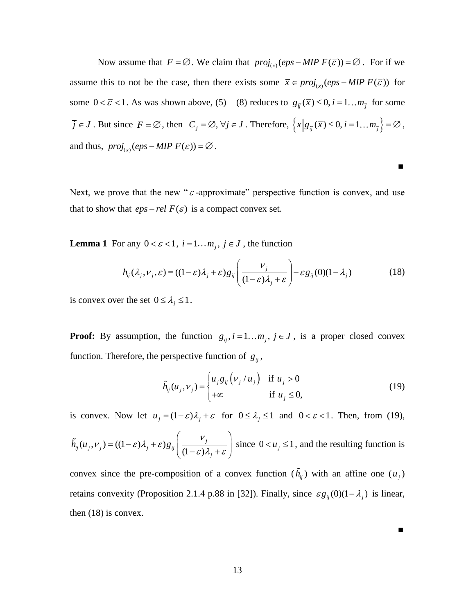Now assume that  $F = \emptyset$ . We claim that  $proj_{(x)}(eps - MIP F(\overline{\varepsilon})) = \emptyset$ . For if we assume this to not be the case, then there exists some  $\bar{x} \in proj_{(x)}(eps-MIPF(\bar{\varepsilon}))$  for some  $0 < \bar{\varepsilon} < 1$ . As was shown above,  $(5) - (8)$  reduces to  $g_{\bar{y}}(\bar{x}) \le 0$ ,  $i = 1...m_{\bar{j}}$  for some  $\overline{j} \in J$ . But since  $F = \emptyset$ , then  $C_j = \emptyset$ ,  $\forall j \in J$ . Therefore,  $\left\{x \middle| g_{\overline{ij}}(\overline{x}) \leq 0, i = 1...m_{\overline{j}} \right\} = \emptyset$ , and thus,  $proj_{(x)}(eps-MIP F(\varepsilon)) = \varnothing$ .

Next, we prove that the new " $\varepsilon$ -approximate" perspective function is convex, and use that to show that  $eps$ *-rel*  $F(\varepsilon)$  is a compact convex set.

**Lemma 1** For any 
$$
0 < \varepsilon < 1
$$
,  $i = 1...m_j$ ,  $j \in J$ , the function  
\n
$$
h_{ij}(\lambda_j, v_j, \varepsilon) \equiv ((1 - \varepsilon)\lambda_j + \varepsilon)g_{ij}\left(\frac{v_j}{(1 - \varepsilon)\lambda_j + \varepsilon}\right) - \varepsilon g_{ij}(0)(1 - \lambda_j)
$$
\n(18)

**■**

is convex over the set  $0 \leq \lambda_j \leq 1$ .

**Proof:** By assumption, the function  $g_{ij}$ ,  $i = 1...m_j$ ,  $j \in J$ , is a proper closed convex function. Therefore, the perspective function of  $g_{ij}$ ,

$$
\tilde{h}_{ij}(u_j, v_j) = \begin{cases} u_j g_{ij} (v_j / u_j) & \text{if } u_j > 0 \\ +\infty & \text{if } u_j \le 0, \end{cases}
$$
\n(19)

is convex. Now let 
$$
u_j = (1 - \varepsilon)\lambda_j + \varepsilon
$$
 for  $0 \le \lambda_j \le 1$  and  $0 < \varepsilon < 1$ . Then, from (19),  
\n
$$
\tilde{h}_{ij}(u_j, v_j) = ((1 - \varepsilon)\lambda_j + \varepsilon)g_{ij}\left(\frac{v_j}{(1 - \varepsilon)\lambda_j + \varepsilon}\right)
$$
since  $0 < u_j \le 1$ , and the resulting function is

convex since the pre-composition of a convex function  $(h_{ij})$  with an affine one  $(u_j)$ retains convexity (Proposition 2.1.4 p.88 in [32]). Finally, since  $\varepsilon g_{ij}(0)(1-\lambda_j)$  is linear, then (18) is convex.

 **■**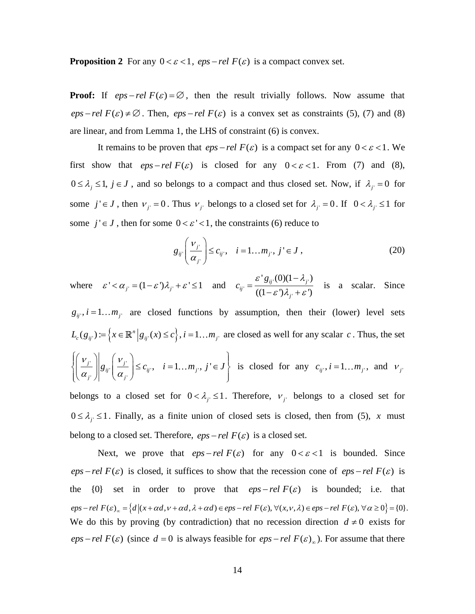**Proposition 2** For any  $0 < \varepsilon < 1$ , *eps - rel F(* $\varepsilon$ *)* is a compact convex set.

**Proof:** If  $eps$ -rel  $F(\varepsilon) = \emptyset$ , then the result trivially follows. Now assume that  $eps$  *rel*  $F(\varepsilon) \neq \emptyset$ . Then,  $eps$  *rel*  $F(\varepsilon)$  is a convex set as constraints (5), (7) and (8) are linear, and from Lemma 1, the LHS of constraint (6) is convex.

It remains to be proven that  $eps$ *-rel*  $F(\varepsilon)$  is a compact set for any  $0 < \varepsilon < 1$ . We first show that  $eps$ *-rel*  $F(\varepsilon)$  is closed for any  $0 < \varepsilon < 1$ . From (7) and (8),  $0 \leq \lambda_j \leq 1$ ,  $j \in J$ , and so belongs to a compact and thus closed set. Now, if  $\lambda_j = 0$  for some  $j' \in J$ , then  $v_{j'} = 0$ . Thus  $v_{j'}$  belongs to a closed set for  $\lambda_{j'} = 0$ . If  $0 < \lambda_{j'} \le 1$  for some  $j' \in J$ , then for some  $0 < \varepsilon' < 1$ , the constraints (6) reduce to

$$
g_{ij}\left(\frac{v_j}{\alpha_{j'}}\right) \le c_{ij'}, \quad i = 1...m_j, \ j' \in J \,, \tag{20}
$$

where  $\varepsilon' < \alpha_j = (1 - \varepsilon')\lambda_j + \varepsilon' \le 1$  and  $c_{ij'} = \frac{\varepsilon' g_{ij'}(0)(1 - \lambda_j)}{((1 - \varepsilon')\lambda_j + \varepsilon')}$  $g_{ii'}(0)(1 - \lambda_{i'})$  $\overline{((1-\varepsilon')\lambda_{i'}+\varepsilon')}$  $_{ij}$  (U)(1 –  $\lambda_j$ *ij j g c*  $\varepsilon' g_{ii'}(0)(1 - \lambda_{i'})$  $\overline{\varepsilon' \overline{\lambda_{i'} + \varepsilon'}}$  $\overline{a}$  $=\frac{\partial^2 s_{ij}(\cos(\epsilon) - \cos(\epsilon))}{((1-\epsilon')\lambda_{ij} + \epsilon')}$  is a scalar. Since

 $g_{ij}$ ,  $i = 1...m_j$  are closed functions by assumption, then their (lower) level sets  $(g_{ij}) \coloneqq \left\{ x \in \mathbb{R}^n \, \Big| \, g_{ij}(x) \leq c \right\}, i = 1...m_j.$ *n*  $L_c(g_{ij}) = \left\{ x \in \mathbb{R}^n \Big| g_{ij}(x) \le c \right\}, i = 1...m_j$  are closed as well for any scalar c. Thus, the set  $\left\lceil \cdot \right\rceil_{\alpha}$   $\left\lceil \frac{\nu_{j}}{\nu_{j}} \right\rceil$  $\left|\frac{V_{j'}}{\alpha}\right| \leq c_{ij'}, \quad i=1...m_{j'}$  $\left[\,\vphantom{\frac{\partial}{\partial u}}\right]^{g_{ij}}\left(\,\overline{\alpha_{j^{\prime}}}\right)$  $\left\| g_{ij} \left( \frac{v_j}{\alpha} \right) \leq c_{ij}$ ,  $i = 1...m_j$ , j'  $\int_{j'}^{\infty}\left|\int_{j'}^{g}g_{ij'}\right|\left(\frac{\partial}{\partial f}\right)$  $g_{ij}$  $\left(\frac{v_j}{\alpha}\right) \leq c_{ij}$ ,  $i = 1...m_j$ ,  $j' \in J$  $\left[\frac{\nu_j}{\nu_j}\right]_q \left[\frac{\nu_j}{\nu_j}\right]_q$  $\left\{\frac{\nu_{j'}}{\alpha_{j'}}\right\}\left|g_{ij'}\left(\frac{\nu_{j'}}{\alpha_{j'}}\right)\right|\leq 0$  $\left\{ \left( \frac{V_j}{\rho} \right) \middle| \rho_m \left( \frac{V_j}{\rho} \right) \right\} \leq C_m, \quad i = 1, \dots, m, \quad i' \in I$  is c  $\left\{\left(\frac{v_j}{\alpha_j}\right) | g_{ij} \left(\frac{v_j}{\alpha_j}\right) \leq c_{ij}, \quad i = 1...m_j, \ j' \in J\right\}$  is c is closed for any  $c_{ij}$ ,  $i = 1...m_j$ , and  $v_j$ 

belongs to a closed set for  $0 < \lambda_j \leq 1$ . Therefore,  $v_j$  belongs to a closed set for  $0 \leq \lambda_j \leq 1$ . Finally, as a finite union of closed sets is closed, then from (5), *x* must belong to a closed set. Therefore,  $eps$ *-rel*  $F(\varepsilon)$  is a closed set.

Next, we prove that  $eps$ *-rel*  $F(\varepsilon)$  for any  $0 < \varepsilon < 1$  is bounded. Since  $eps$ -rel  $F(\varepsilon)$  is closed, it suffices to show that the recession cone of  $eps$ -rel  $F(\varepsilon)$  is the {0} set in order to prove that  $eps$ *-rel F(* $\varepsilon$ *)* is bounded; i.e. that  $eps-rel F(\varepsilon)_{\infty} = \{d \mid (x + \alpha d, v + \alpha d, \lambda + \alpha d) \in eps - rel F(\varepsilon), \forall (x, v, \lambda) \in eps - rel F(\varepsilon), \forall \alpha \geq 0\} = \{0\}.$ We do this by proving (by contradiction) that no recession direction  $d \neq 0$  exists for *eps – rel*  $F(\varepsilon)$  (since  $d = 0$  is always feasible for  $eps$  – rel  $F(\varepsilon)_{\infty}$ ). For assume that there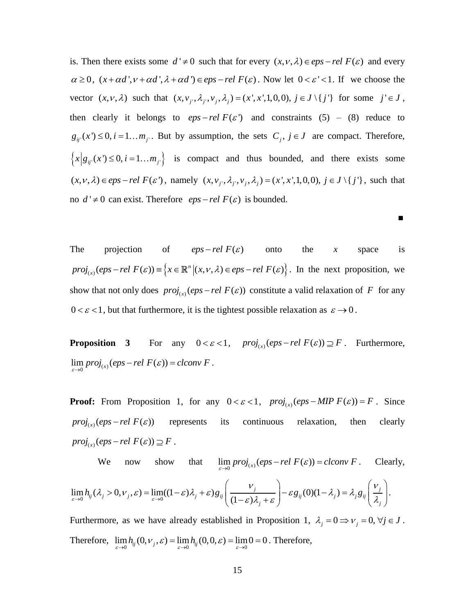is. Then there exists some  $d' \neq 0$  such that for every  $(x, v, \lambda) \in eps$  *rel*  $F(\varepsilon)$  and every is. Then there exists some  $a \neq 0$  such that for every  $(x, v, \lambda) \in eps - rel F(\varepsilon)$  and every  $\alpha \geq 0$ ,  $(x + \alpha d', v + \alpha d', \lambda + \alpha d') \in eps - rel F(\varepsilon)$ . Now let  $0 < \varepsilon' < 1$ . If we choose the  $\alpha \ge 0$ ,  $(x + \alpha a$ ,  $y + \alpha a$ ,  $\lambda + \alpha a$  )  $\in eps - rel F(\varepsilon)$ . Now let  $0 < \varepsilon < 1$ . If we choose the vector  $(x, v, \lambda)$  such that  $(x, v_j, \lambda_j, v_j, \lambda_j) = (x', x', 1, 0, 0), j \in J \setminus \{j'\}$  for some  $j' \in J$ , then clearly it belongs to  $eps$ *-rel*  $F(\varepsilon')$  and constraints (5) – (8) reduce to  $g_{ij}(x') \le 0$ ,  $i = 1...m_j$ . But by assumption, the sets  $C_j$ ,  $j \in J$  are compact. Therefore,  ${x|g_{ij}(x') \le 0, i = 1...m_{j'}\}$  is compact and thus bounded, and there exists some  $(x, v, \lambda) \in eps - rel \ F(\varepsilon')$ , namely  $(x, v_j, \lambda_j, v_j, \lambda_j) = (x', x', 1, 0, 0), j \in J \setminus \{j'\}$ , such that no  $d' \neq 0$  can exist. Therefore  $eps$  - rel  $F(\varepsilon)$  is bounded.

The projection of  $\epsilon$ *eps – rel*  $F(\varepsilon)$ onto the *x* space is projection of  $eps-rel F(\varepsilon)$  onto<br>  $\mathcal{L}_{(x)}(eps-rel F(\varepsilon)) \equiv \{x \in \mathbb{R}^n | (x, v, \lambda) \in eps-rel F(\varepsilon) \}.$ *n* The projection of  $eps-rel F(\varepsilon)$  onto the x space is<br>  $proj_{(x)}(eps-rel F(\varepsilon)) = \{x \in \mathbb{R}^n | (x, v, \lambda) \in eps-rel F(\varepsilon) \}$ . In the next proposition, we show that not only does  $proj_{(x)}(eps-rel F(\varepsilon))$  constitute a valid relaxation of F for any  $0 < \varepsilon < 1$ , but that furthermore, it is the tightest possible relaxation as  $\varepsilon \to 0$ .

 **■**

**Proposition** 3  $0 < \varepsilon < 1$ ,  $proj_{(x)}(eps-rel F(\varepsilon)) \supseteq F$ . Furthermore,  $\lim_{\varepsilon \to 0} proj_{(x)}(eps-rel F(\varepsilon)) = clconv F.$ 

**Proof:** From Proposition 1, for any  $0 < \varepsilon < 1$ ,  $proj_{(x)}(eps - MIP F(\varepsilon)) = F$ . Since  $proj_{(x)}(eps-rel F(\varepsilon))$ represents its continuous relaxation, then clearly  $proj_{(x)}(eps-rel F(\varepsilon)) \supseteq F$ .

We now show  $\lim_{\varepsilon \to 0} \text{proj}_{(x)}(\text{eps}-\text{rel } F(\varepsilon)) = \text{clconv } F$ . Clearly, We now show that  $\lim_{\varepsilon \to 0} proj_{(x)}(eps - rel \ F(\varepsilon)) = clco$ <br>  $\lim_{\varepsilon \to 0} h_{ij}(\lambda_j > 0, v_j, \varepsilon) = \lim_{\varepsilon \to 0} ((1 - \varepsilon)\lambda_j + \varepsilon)g_{ij} \left( \frac{v_j}{(1 - \varepsilon)\lambda_j + \varepsilon} \right) - \varepsilon g_{ij}(0)(1 - \lambda_j)$  $\frac{proj_{(x)}}{(1-\varepsilon)}$ *j*  $-\varepsilon g_{ii}(0)(1-\lambda_i) = \lambda_i g_{ii} \left(\frac{V_i}{V_i}\right)$  $\mathcal{L}_{ij}(\lambda_j > 0, \nu_j, \varepsilon) = \lim_{\varepsilon \to 0} ((1 - \varepsilon)\lambda_j + \varepsilon) g_{ij} \left( \frac{\nu_j}{(1 - \varepsilon)\lambda_j + \varepsilon} \right) - \varepsilon g_{ij}(0)(1 - \lambda_j) = \lambda_j g_{ij}$ We now show that  $\lim_{\varepsilon \to 0} proj_{(x)}(eps - rel \ F(\varepsilon)) = clconv \ F$ . C<br>  $\lim_{\varepsilon \to 0} h_{ij}(\lambda_j > 0, v_j, \varepsilon) = \lim_{\varepsilon \to 0} ((1 - \varepsilon)\lambda_j + \varepsilon) g_{ij} \left( \frac{v_j}{(1 - \varepsilon)\lambda_j + \varepsilon} \right) - \varepsilon g_{ij}(0)(1 - \lambda_j) = \lambda_j g_{ij} \left( \frac{v_j}{\lambda_j + \varepsilon} \right)$  $\mathcal{F}_{(x)}(eps-rel F(\varepsilon)) = clconv F$ . Clearly,<br> $\mathcal{F}_{j}$   $\Big| - \varepsilon g_{ii}(0)(1 - \lambda_{i}) = \lambda_{i} g_{ii} \left( \frac{V_{j}}{2} \right).$ We now show that  $\lim_{\varepsilon \to 0} \text{proj}_{(x)}(\text{eps}-\text{rel } F(\varepsilon)) = \text{clconv } F$ . Clearly<br>  $\lambda_j > 0, v_j, \varepsilon$  =  $\lim_{\varepsilon \to 0} ((1-\varepsilon)\lambda_j + \varepsilon)g_{ij} \left( \frac{v_j}{(1-\varepsilon)\lambda_j + \varepsilon} \right) - \varepsilon g_{ij}(0)(1-\lambda_j) = \lambda_j g_{ij} \left( \frac{v_j}{\lambda_j} \right)$ . We now show that  $\lim_{\varepsilon \to 0} \text{proj}_{(x)}(\text{eps}-\text{rel } F(\varepsilon)) = \text{clconv } F$ . Clearly,<br>  $\lim_{\varepsilon \to 0} h_{ij}(\lambda_j > 0, v_j, \varepsilon) = \lim_{\varepsilon \to 0} ((1-\varepsilon)\lambda_j + \varepsilon) g_{ij} \left( \frac{v_j}{(1-\varepsilon)\lambda_j + \varepsilon} \right) - \varepsilon g_{ij}(0)(1-\lambda_j) = \lambda_j g_{ij} \left( \frac{v_j}{\lambda_j} \right).$ m proj<sub>(x)</sub> (eps – rel  $F(\varepsilon)$ ) = clconv F. Clearly,<br>  $\left(\frac{v_j}{v_{\varepsilon}}\right)$  –  $\varepsilon g_{ii}(0)(1-\lambda_i) = \lambda_i g_{ii} \left(\frac{v_j}{v_{\varepsilon}}\right)$ . e now show that  $\lim_{\varepsilon \to 0} \text{proj}_{(x)}(\text{eps}-\text{rel } F(\varepsilon)) = \text{clconv } F$ . Clearly,<br>  $>0, v_j, \varepsilon) = \lim_{\varepsilon \to 0} ((1-\varepsilon)\lambda_j + \varepsilon)g_{ij}\left(\frac{v_j}{(1-\varepsilon)\lambda_j + \varepsilon}\right) - \varepsilon g_{ij}(0)(1-\lambda_j) = \lambda_j g_{ij}\left(\frac{v_j}{\lambda_j}\right).$ .

Furthermore, as we have already established in Proposition 1,  $\lambda_j = 0 \Rightarrow v_j = 0, \forall j \in J$ . Therefore,  $\lim_{\varepsilon \to 0} h_{ij}(0, v_j, \varepsilon) = \lim_{\varepsilon \to 0} h_{ij}(0, 0, \varepsilon) = \lim_{\varepsilon \to 0} 0 = 0$ . Therefore,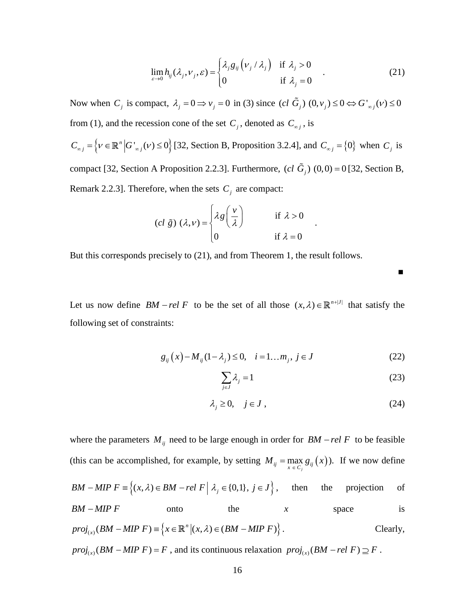$$
\lim_{\varepsilon \to 0} h_{ij}(\lambda_j, \nu_j, \varepsilon) = \begin{cases} \lambda_j g_{ij} (\nu_j / \lambda_j) & \text{if } \lambda_j > 0 \\ 0 & \text{if } \lambda_j = 0 \end{cases}
$$
 (21)

Now when  $C_j$  is compact,  $\lambda_j = 0 \Rightarrow v_j = 0$  in (3) since  $(cl \tilde{G}_j)$   $(0, v_j) \le 0 \Leftrightarrow G'_{\infty j}(v) \le 0$ from (1), and the recession cone of the set  $C_j$ , denoted as  $C_{\infty j}$ , is

 $C_{\infty j} = \left\{ v \in \mathbb{R}^n \middle| G'_{\infty j}(v) \le 0 \right\}$  [32, Section B, Proposition 3.2.4], and  $C_{\infty j} = \left\{ 0 \right\}$  when  $C_j$  is compact [32, Section A Proposition 2.2.3]. Furthermore,  $(cl \tilde{G}_j)$   $(0,0) = 0$  [32, Section B, Remark 2.2.3]. Therefore, when the sets *Cj* are compact:

$$
(cl \tilde{g}) (\lambda, v) = \begin{cases} \lambda g \left( \frac{v}{\lambda} \right) & \text{if } \lambda > 0 \\ 0 & \text{if } \lambda = 0 \end{cases}
$$

But this corresponds precisely to (21), and from Theorem 1, the result follows.

Let us now define  $BM - rel F$  to be the set of all those  $(x, \lambda) \in \mathbb{R}^{n+|J|}$  that satisfy the following set of constraints:

$$
g_{ij}(x) - M_{ij}(1 - \lambda_j) \le 0, \quad i = 1...m_j, \ j \in J
$$
 (22)

$$
\sum_{j \in J} \lambda_j = 1 \tag{23}
$$

.

**■**

$$
\lambda_j \ge 0, \quad j \in J \tag{24}
$$

 $g_{ij}(\nu_j/\lambda_j)$ <br>in (3) since<br> $C_j$ , denoted<br>Propositior<br>Furthermor<br>are compa<br> $\frac{\nu}{\lambda}$ <br>iom Theor<br>set of all t<br>Set of all t<br>Ag = 1.<br>Ag = 1.<br>Prom Theor<br>set of all t<br>exting *M*<br>0,1},  $j \in J$ ,<br>nenough in (<br>setting *M*<br>0,1},  $j \in$ where the parameters  $M_{ij}$  need to be large enough in order for  $BM - rel F$  to be feasible (this can be accomplished, for example, by setting  $M_{ij} = \max_{x \in C_j} g_{ij}(x)$ ). If we now define *BM - MIP F*  $\equiv \{(x, \lambda) \in BM - rel \ F \mid \lambda_j \in \{0,1\}, j \in J\}$ , then the projection of  $BM-MIP \tF$  onto the  $x$  space is - *MIP F* onto the<br>  $L_{(x)}(BM - MIP F) = \{x \in \mathbb{R}^n | (x, \lambda) \in (BM - MIP F) \}$ . *n BM - MIP F* onto the<br>  $proj_{(x)}(BM - MIP F) = \{x \in \mathbb{R}^n | (x, \lambda) \in (BM - MIP F)$ . Clearly,  $proj_{(x)}(BM - MIP F) = F$ , and its continuous relaxation  $proj_{(x)}(BM - rel F) \supseteq F$ .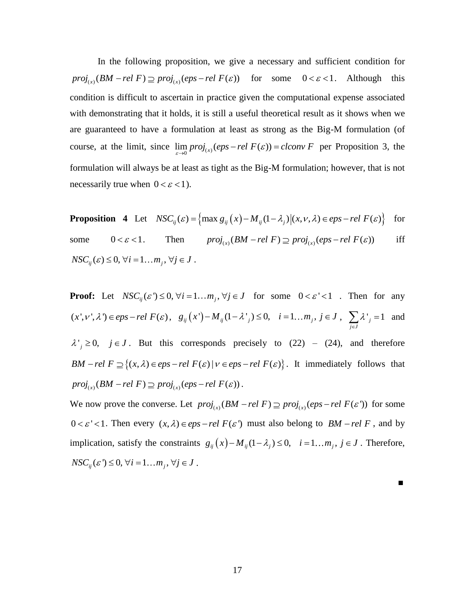In the following proposition, we give a necessary and sufficient condition for In the following proposition, we give a necessary and sufficient condition for  $proj_{(x)}(BM - rel \ F) \supseteq proj_{(x)}(eps - rel \ F(\varepsilon))$  for some  $0 < \varepsilon < 1$ . Although this condition is difficult to ascertain in practice given the computational expense associated with demonstrating that it holds, it is still a useful theoretical result as it shows when we are guaranteed to have a formulation at least as strong as the Big-M formulation (of are guaranteed to have a formulation at least as strong as the Big-M formulation (of course, at the limit, since  $\lim_{\varepsilon \to 0} proj_{(x)}(eps-rel(F(\varepsilon)) = clconv F$  per Proposition 3, the formulation will always be at least as tight as the Big-M formulation; however, that is not necessarily true when  $0 < \varepsilon < 1$ ).

**Proposition 4** Let 
$$
NSC_{ij}(\varepsilon) = \left\{ \max g_{ij}(x) - M_{ij}(1 - \lambda_j) \middle| (x, v, \lambda) \in eps - rel \, F(\varepsilon) \right\}
$$
 for

some  $0 < \varepsilon < 1$ .  $\max g_{ij}(x) - M_{ij}(1 - \lambda_j)|(x, v, \lambda) \in eps - ret \in C$ <br>  $proj_{(x)}(BM - rel \in F) \supseteq proj_{(x)}(eps - rel \in F(\varepsilon))$ iff  $NSC_{ii}(\varepsilon) \leq 0, \forall i = 1...m_i, \forall j \in J$ .

**Proof:** Let  $NSC_{ij}(\varepsilon') \le 0$ ,  $\forall i = 1...m_j$ ,  $\forall j \in J$  for some  $0 < \varepsilon' < 1$ . Then for any (x', v',  $\lambda'$ )  $\in$  *eps - rel F*( $\varepsilon$ ),  $g_{ij}(x') - M_{ij}(1 - \lambda'_{j}) \le 0$ ,  $i = 1...m_{j}$ ,  $j \in J$ ,  $\sum_{j \in J} {\lambda'}_{j} = 1$ λ  $\sum_{j\in J} \lambda^j = 1$  and  $\lambda'_{j} \ge 0$ ,  $j \in J$ . But this corresponds precisely to (22) – (24), and therefore <br>*BM - rel F*  $\supseteq$  {(*x*,  $\lambda$ )  $\in eps$  - *rel F*( $\varepsilon$ )| $\nu \in eps$  - *rel F*( $\varepsilon$ )}. It immediately follows that  $BM - rel \ F \supseteq \{(x, \lambda) \in eps - rel \ F(\varepsilon) \ | \ \nu \in eps - rel \ F(\varepsilon) \}.$  It immediately follows that  $B$ *M*  $-$  *rel*  $F \supseteq \{(x, \lambda) \in eps - rel \ F(\varepsilon) | V \in eps -\n$ <br>  $proj_{(x)}(BM - rel \ F) \supseteq proj_{(x)}(eps - rel \ F(\varepsilon))$ .

 $proj_{(x)}(BM - rel \ r) \supseteq proj_{(x)}(eps - rel \ r(\varepsilon))$ .<br>We now prove the converse. Let  $proj_{(x)}(BM - rel \ F) \supseteq proj_{(x)}(eps - rel \ F(\varepsilon'))$  for some  $0 < \varepsilon' < 1$ . Then every  $(x, \lambda) \in eps - rel F(\varepsilon')$  must also belong to  $BM - rel F$ , and by implication, satisfy the constraints  $g_{ij}(x) - M_{ij}(1 - \lambda_j) \le 0$ ,  $i = 1...m_j$ ,  $j \in J$ . Therefore,  $NSC_{ii}(\varepsilon') \leq 0, \forall i = 1...m_i, \forall j \in J$ .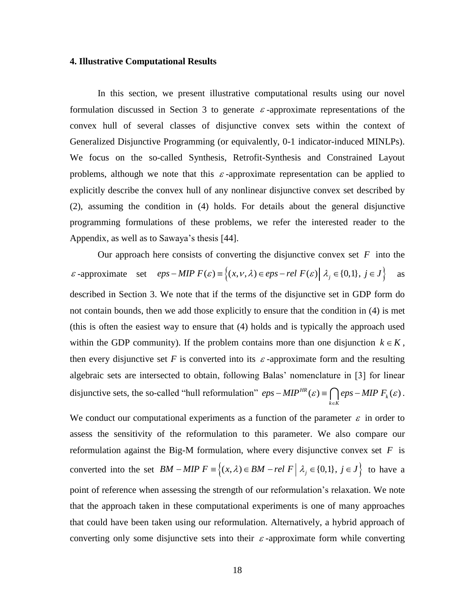#### **4. Illustrative Computational Results**

In this section, we present illustrative computational results using our novel formulation discussed in Section 3 to generate  $\varepsilon$ -approximate representations of the convex hull of several classes of disjunctive convex sets within the context of Generalized Disjunctive Programming (or equivalently, 0-1 indicator-induced MINLPs). We focus on the so-called Synthesis, Retrofit-Synthesis and Constrained Layout problems, although we note that this  $\varepsilon$ -approximate representation can be applied to explicitly describe the convex hull of any nonlinear disjunctive convex set described by (2), assuming the condition in (4) holds. For details about the general disjunctive programming formulations of these problems, we refer the interested reader to the Appendix, as well as to Sawaya's thesis [44].

Our approach here consists of converting the disjunctive convex set  $F$  into the Our approach here consists of converting the disjunctive convex set *F* into the  $\varepsilon$ -approximate set  $eps-MIP F(\varepsilon) = \{(x, v, \lambda) \in eps - rel F(\varepsilon) | \lambda_j \in \{0,1\}, j \in J\}$  as as described in Section 3. We note that if the terms of the disjunctive set in GDP form do not contain bounds, then we add those explicitly to ensure that the condition in (4) is met (this is often the easiest way to ensure that (4) holds and is typically the approach used within the GDP community). If the problem contains more than one disjunction  $k \in K$ , then every disjunctive set  $F$  is converted into its  $\varepsilon$ -approximate form and the resulting algebraic sets are intersected to obtain, following Balas' nomenclature in [3] for linear disjunctive sets, the so-called "hull reformulation"  $eps - MIP<sup>HR</sup>(\varepsilon) = \bigcap_{k \in K}eps - MIP F_k(\varepsilon)$ *eps – MIP<sup>HR</sup>*  $(\varepsilon) = \bigcap_{k \in K} eps - MIP F_k(\varepsilon)$ .

We conduct our computational experiments as a function of the parameter  $\varepsilon$  in order to assess the sensitivity of the reformulation to this parameter. We also compare our reformulation against the Big-M formulation, where every disjunctive convex set  $F$  is reformulation against the Big-M formulation, where every disjunctive convex set *F* is<br>converted into the set  $BM - MIP F \equiv \{(x, \lambda) \in BM - rel \ F \mid \lambda_j \in \{0,1\}, j \in J\}$  to have a point of reference when assessing the strength of our reformulation's relaxation. We note that the approach taken in these computational experiments is one of many approaches that could have been taken using our reformulation. Alternatively, a hybrid approach of converting only some disjunctive sets into their  $\varepsilon$ -approximate form while converting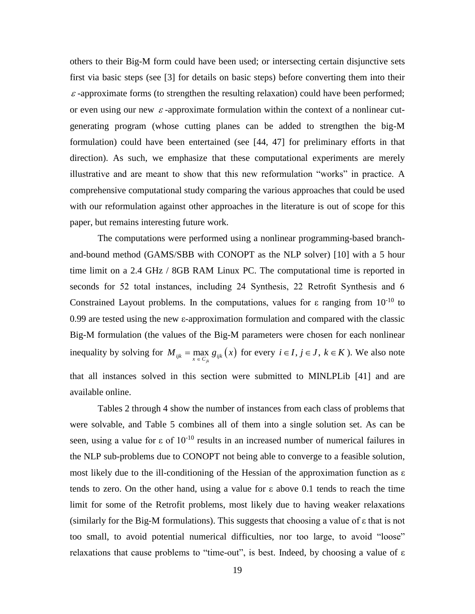others to their Big-M form could have been used; or intersecting certain disjunctive sets first via basic steps (see [3] for details on basic steps) before converting them into their  $\varepsilon$ -approximate forms (to strengthen the resulting relaxation) could have been performed; or even using our new  $\varepsilon$ -approximate formulation within the context of a nonlinear cutgenerating program (whose cutting planes can be added to strengthen the big-M formulation) could have been entertained (see [44, 47] for preliminary efforts in that direction). As such, we emphasize that these computational experiments are merely illustrative and are meant to show that this new reformulation "works" in practice. A comprehensive computational study comparing the various approaches that could be used with our reformulation against other approaches in the literature is out of scope for this paper, but remains interesting future work.

The computations were performed using a nonlinear programming-based branchand-bound method (GAMS/SBB with CONOPT as the NLP solver) [10] with a 5 hour time limit on a 2.4 GHz / 8GB RAM Linux PC. The computational time is reported in seconds for 52 total instances, including 24 Synthesis, 22 Retrofit Synthesis and 6 Constrained Layout problems. In the computations, values for  $\varepsilon$  ranging from  $10^{-10}$  to 0.99 are tested using the new ε-approximation formulation and compared with the classic Big-M formulation (the values of the Big-M parameters were chosen for each nonlinear inequality by solving for  $M_{ijk} = \max_{x \in C_{jk}} g_{ijk}(x)$  for every  $i \in I, j \in J, k \in K$ ). We also note that all instances solved in this section were submitted to MINLPLib [41] and are available online.

Tables 2 through 4 show the number of instances from each class of problems that were solvable, and Table 5 combines all of them into a single solution set. As can be seen, using a value for  $\varepsilon$  of  $10^{-10}$  results in an increased number of numerical failures in the NLP sub-problems due to CONOPT not being able to converge to a feasible solution, most likely due to the ill-conditioning of the Hessian of the approximation function as ε tends to zero. On the other hand, using a value for ε above 0.1 tends to reach the time limit for some of the Retrofit problems, most likely due to having weaker relaxations (similarly for the Big-M formulations). This suggests that choosing a value of ε that is not too small, to avoid potential numerical difficulties, nor too large, to avoid "loose" relaxations that cause problems to "time-out", is best. Indeed, by choosing a value of ε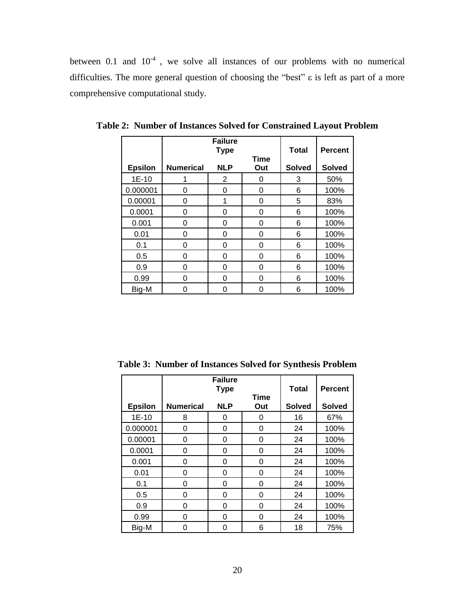between 0.1 and  $10^{-4}$ , we solve all instances of our problems with no numerical difficulties. The more general question of choosing the "best" ε is left as part of a more comprehensive computational study.

|                |                  | <b>Failure</b><br><b>Type</b> | <b>Total</b>       | <b>Percent</b> |               |
|----------------|------------------|-------------------------------|--------------------|----------------|---------------|
| <b>Epsilon</b> | <b>Numerical</b> | <b>NLP</b>                    | <b>Time</b><br>Out | <b>Solved</b>  | <b>Solved</b> |
| $1E-10$        |                  | $\overline{2}$                | 0                  | 3              | 50%           |
| 0.000001       | $\Omega$         | 0                             | 0                  | 6              | 100%          |
| 0.00001        | 0                | 1                             | 0                  | 5              | 83%           |
| 0.0001         | 0                | 0                             | 0                  | 6              | 100%          |
| 0.001          | 0                | 0                             | 0                  | 6              | 100%          |
| 0.01           | $\Omega$         | 0                             | 0                  | 6              | 100%          |
| 0.1            | 0                | 0                             | 0                  | 6              | 100%          |
| 0.5            | 0                | 0                             | 0                  | 6              | 100%          |
| 0.9            | 0                | 0                             | 0                  | 6              | 100%          |
| 0.99           | $\Omega$         | 0                             | 0                  | 6              | 100%          |
| Big-M          | 0                | ი                             | O                  | 6              | 100%          |

**Table 2: Number of Instances Solved for Constrained Layout Problem**

**Table 3: Number of Instances Solved for Synthesis Problem**

|                |                  | <b>Failure</b><br><b>Type</b> |                    | <b>Total</b>  | <b>Percent</b> |
|----------------|------------------|-------------------------------|--------------------|---------------|----------------|
| <b>Epsilon</b> | <b>Numerical</b> | <b>NLP</b>                    | <b>Time</b><br>Out | <b>Solved</b> | <b>Solved</b>  |
| $1E-10$        | 8                | 0                             | 0                  | 16            | 67%            |
| 0.000001       | 0                | 0                             | 0                  | 24            | 100%           |
| 0.00001        | 0                | 0                             | 0                  | 24            | 100%           |
| 0.0001         | 0                | 0                             | 0                  | 24            | 100%           |
| 0.001          | 0                | 0                             | 0                  | 24            | 100%           |
| 0.01           | 0                | 0                             | 0                  | 24            | 100%           |
| 0.1            | 0                | 0                             | 0                  | 24            | 100%           |
| 0.5            | 0                | 0                             | 0                  | 24            | 100%           |
| 0.9            | 0                | 0                             | 0                  | 24            | 100%           |
| 0.99           | 0                | 0                             | 0                  | 24            | 100%           |
| Big-M          | 0                | ი                             | 6                  | 18            | 75%            |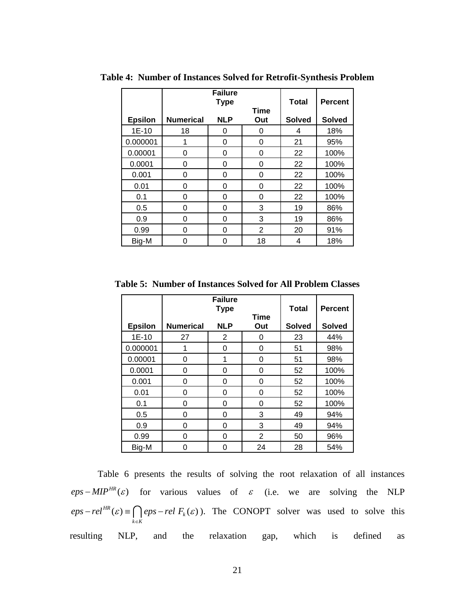|                |                  | <b>Failure</b><br><b>Type</b> | <b>Total</b>       | <b>Percent</b> |               |
|----------------|------------------|-------------------------------|--------------------|----------------|---------------|
| <b>Epsilon</b> | <b>Numerical</b> | <b>NLP</b>                    | <b>Time</b><br>Out | <b>Solved</b>  | <b>Solved</b> |
| $1E-10$        | 18               | 0                             | 0                  | 4              | 18%           |
| 0.000001       | 1                | 0                             | 0                  | 21             | 95%           |
| 0.00001        | 0                | 0                             | 0                  | 22             | 100%          |
| 0.0001         | 0                | 0                             | 0                  | 22             | 100%          |
| 0.001          | 0                | 0                             | 0                  | 22             | 100%          |
| 0.01           | 0                | 0                             | 0                  | 22             | 100%          |
| 0.1            | 0                | 0                             | 0                  | 22             | 100%          |
| 0.5            | 0                | 0                             | 3                  | 19             | 86%           |
| 0.9            | 0                | 0                             | 3                  | 19             | 86%           |
| 0.99           | 0                | 0                             | $\overline{2}$     | 20             | 91%           |
| Big-M          | 0                | ი                             | 18                 | 4              | 18%           |

**Table 4: Number of Instances Solved for Retrofit-Synthesis Problem**

**Table 5: Number of Instances Solved for All Problem Classes**

|                |                  | <b>Failure</b><br><b>Type</b> | <b>Total</b>       | <b>Percent</b> |               |
|----------------|------------------|-------------------------------|--------------------|----------------|---------------|
| <b>Epsilon</b> | <b>Numerical</b> | <b>NLP</b>                    | <b>Time</b><br>Out | <b>Solved</b>  | <b>Solved</b> |
| $1E-10$        | 27               | $\overline{2}$                | 0                  | 23             | 44%           |
| 0.000001       | 1                | 0                             | 0                  | 51             | 98%           |
| 0.00001        | 0                | 1                             | 0                  | 51             | 98%           |
| 0.0001         | 0                | 0                             | $\Omega$           | 52             | 100%          |
| 0.001          | 0                | 0                             | $\Omega$           | 52             | 100%          |
| 0.01           | 0                | 0                             | 0                  | 52             | 100%          |
| 0.1            | 0                | 0                             | 0                  | 52             | 100%          |
| 0.5            | 0                | 0                             | 3                  | 49             | 94%           |
| 0.9            | 0                | 0                             | 3                  | 49             | 94%           |
| 0.99           | 0                | 0                             | 2                  | 50             | 96%           |
| Big-M          | 0                | O                             | 24                 | 28             | 54%           |

Table 6 presents the results of solving the root relaxation of all instances  $eps-MIP<sup>HR</sup>(\varepsilon)$  for various values of  $\varepsilon$  (i.e. we are solving the NLP  $H^R(\varepsilon) \equiv \bigcap_{k \in K} eps - rel \ F_k(\varepsilon)$  $eps-rel^{HR}(\varepsilon) \equiv \bigcap_{k \in K}eps-rel F_k(\varepsilon)$ . The CONOPT solver was used to solve this resulting NLP, and the relaxation gap, which is defined as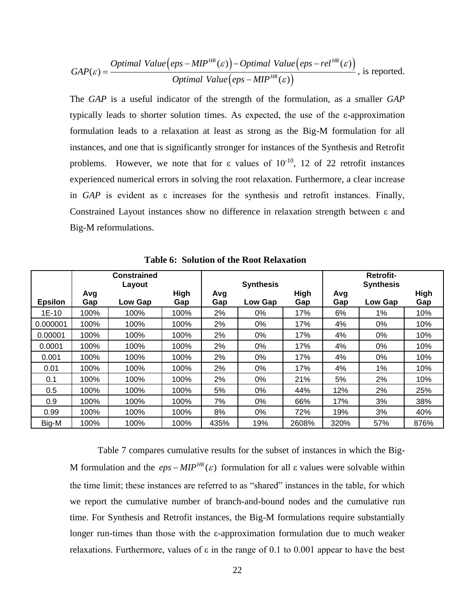$$
GAP(\varepsilon) = \frac{Optimal\ Value\left(eps - MIP^{HR}(\varepsilon)\right) - Optimal\ Value\left(eps - rel^{HR}(\varepsilon)\right)}{Optimal\ Value\left(eps - MIP^{HR}(\varepsilon)\right)}, \text{ is reported.}
$$

|                                                                                                                                                                                                                                                                                                                                                                                                                                                                                                                                                                                                                                                                                                     | <i>Optimal Value</i> ( <i>eps</i> – <i>MIP<sup>HK</sup></i> ( $\varepsilon$ )) – <i>Optimal Value</i> ( <i>eps</i> – <i>rel</i> <sup>HK</sup> ( $\varepsilon$ )), is reported.<br><i>Optimal Value</i> ( <i>eps</i> – <i>MIP<sup>HR</sup></i> ( $\varepsilon$ ))<br>$GAP(\varepsilon) = -$ |                                                                                                      |              |          |                                                 |            |          |                                      |             |  |
|-----------------------------------------------------------------------------------------------------------------------------------------------------------------------------------------------------------------------------------------------------------------------------------------------------------------------------------------------------------------------------------------------------------------------------------------------------------------------------------------------------------------------------------------------------------------------------------------------------------------------------------------------------------------------------------------------------|--------------------------------------------------------------------------------------------------------------------------------------------------------------------------------------------------------------------------------------------------------------------------------------------|------------------------------------------------------------------------------------------------------|--------------|----------|-------------------------------------------------|------------|----------|--------------------------------------|-------------|--|
|                                                                                                                                                                                                                                                                                                                                                                                                                                                                                                                                                                                                                                                                                                     | The GAP is a useful indicator of the strength of the formulation, as a smaller GAP                                                                                                                                                                                                         |                                                                                                      |              |          |                                                 |            |          |                                      |             |  |
|                                                                                                                                                                                                                                                                                                                                                                                                                                                                                                                                                                                                                                                                                                     | typically leads to shorter solution times. As expected, the use of the $\varepsilon$ -approximation                                                                                                                                                                                        |                                                                                                      |              |          |                                                 |            |          |                                      |             |  |
|                                                                                                                                                                                                                                                                                                                                                                                                                                                                                                                                                                                                                                                                                                     |                                                                                                                                                                                                                                                                                            |                                                                                                      |              |          |                                                 |            |          |                                      |             |  |
|                                                                                                                                                                                                                                                                                                                                                                                                                                                                                                                                                                                                                                                                                                     | formulation leads to a relaxation at least as strong as the Big-M formulation for all                                                                                                                                                                                                      |                                                                                                      |              |          |                                                 |            |          |                                      |             |  |
|                                                                                                                                                                                                                                                                                                                                                                                                                                                                                                                                                                                                                                                                                                     |                                                                                                                                                                                                                                                                                            | instances, and one that is significantly stronger for instances of the Synthesis and Retrofit        |              |          |                                                 |            |          |                                      |             |  |
|                                                                                                                                                                                                                                                                                                                                                                                                                                                                                                                                                                                                                                                                                                     |                                                                                                                                                                                                                                                                                            | problems. However, we note that for $\varepsilon$ values of $10^{-10}$ , 12 of 22 retrofit instances |              |          |                                                 |            |          |                                      |             |  |
|                                                                                                                                                                                                                                                                                                                                                                                                                                                                                                                                                                                                                                                                                                     |                                                                                                                                                                                                                                                                                            | experienced numerical errors in solving the root relaxation. Furthermore, a clear increase           |              |          |                                                 |            |          |                                      |             |  |
|                                                                                                                                                                                                                                                                                                                                                                                                                                                                                                                                                                                                                                                                                                     |                                                                                                                                                                                                                                                                                            | in $GAP$ is evident as $\varepsilon$ increases for the synthesis and retrofit instances. Finally,    |              |          |                                                 |            |          |                                      |             |  |
|                                                                                                                                                                                                                                                                                                                                                                                                                                                                                                                                                                                                                                                                                                     |                                                                                                                                                                                                                                                                                            | Constrained Layout instances show no difference in relaxation strength between ε and                 |              |          |                                                 |            |          |                                      |             |  |
|                                                                                                                                                                                                                                                                                                                                                                                                                                                                                                                                                                                                                                                                                                     |                                                                                                                                                                                                                                                                                            | Big-M reformulations.                                                                                |              |          |                                                 |            |          |                                      |             |  |
|                                                                                                                                                                                                                                                                                                                                                                                                                                                                                                                                                                                                                                                                                                     |                                                                                                                                                                                                                                                                                            |                                                                                                      |              |          |                                                 |            |          |                                      |             |  |
|                                                                                                                                                                                                                                                                                                                                                                                                                                                                                                                                                                                                                                                                                                     |                                                                                                                                                                                                                                                                                            |                                                                                                      |              |          |                                                 |            |          |                                      |             |  |
|                                                                                                                                                                                                                                                                                                                                                                                                                                                                                                                                                                                                                                                                                                     |                                                                                                                                                                                                                                                                                            |                                                                                                      |              |          | <b>Table 6: Solution of the Root Relaxation</b> |            |          |                                      |             |  |
|                                                                                                                                                                                                                                                                                                                                                                                                                                                                                                                                                                                                                                                                                                     |                                                                                                                                                                                                                                                                                            | <b>Constrained</b><br>Layout                                                                         |              |          | <b>Synthesis</b>                                |            |          | <b>Retrofit-</b><br><b>Synthesis</b> |             |  |
|                                                                                                                                                                                                                                                                                                                                                                                                                                                                                                                                                                                                                                                                                                     | Avg                                                                                                                                                                                                                                                                                        |                                                                                                      | <b>High</b>  | Avg      |                                                 | High       | Avg      |                                      | <b>High</b> |  |
| <b>Epsilon</b>                                                                                                                                                                                                                                                                                                                                                                                                                                                                                                                                                                                                                                                                                      | Gap                                                                                                                                                                                                                                                                                        | Low Gap                                                                                              | Gap          | Gap      | Low Gap                                         | Gap        | Gap      | Low Gap                              | Gap         |  |
| 1E-10                                                                                                                                                                                                                                                                                                                                                                                                                                                                                                                                                                                                                                                                                               | 100%                                                                                                                                                                                                                                                                                       | 100%                                                                                                 | 100%         | 2%       | 0%                                              | 17%        | 6%       | 1%                                   | 10%         |  |
| 0.000001                                                                                                                                                                                                                                                                                                                                                                                                                                                                                                                                                                                                                                                                                            | 100%                                                                                                                                                                                                                                                                                       | 100%                                                                                                 | 100%         | 2%       | $0\%$                                           | 17%        | 4%       | 0%                                   | 10%         |  |
| 0.00001                                                                                                                                                                                                                                                                                                                                                                                                                                                                                                                                                                                                                                                                                             | 100%                                                                                                                                                                                                                                                                                       | 100%                                                                                                 | 100%         | 2%       | 0%                                              | 17%        | 4%       | 0%                                   | 10%         |  |
| 0.0001                                                                                                                                                                                                                                                                                                                                                                                                                                                                                                                                                                                                                                                                                              | 100%                                                                                                                                                                                                                                                                                       | 100%                                                                                                 | 100%         | 2%       | 0%                                              | 17%        | 4%       | 0%                                   | 10%         |  |
| 0.001<br>0.01                                                                                                                                                                                                                                                                                                                                                                                                                                                                                                                                                                                                                                                                                       | 100%<br>100%                                                                                                                                                                                                                                                                               | 100%<br>100%                                                                                         | 100%         | 2%<br>2% | $0\%$<br>0%                                     | 17%<br>17% | 4%<br>4% | $0\%$<br>1%                          | 10%<br>10%  |  |
| 0.1                                                                                                                                                                                                                                                                                                                                                                                                                                                                                                                                                                                                                                                                                                 | 100%                                                                                                                                                                                                                                                                                       | 100%                                                                                                 | 100%<br>100% | 2%       | 0%                                              | 21%        | 5%       | 2%                                   | 10%         |  |
| 0.5                                                                                                                                                                                                                                                                                                                                                                                                                                                                                                                                                                                                                                                                                                 | 100%                                                                                                                                                                                                                                                                                       | 100%                                                                                                 | 100%         | 5%       | 0%                                              | 44%        | 12%      | 2%                                   | 25%         |  |
| 0.9                                                                                                                                                                                                                                                                                                                                                                                                                                                                                                                                                                                                                                                                                                 | 100%                                                                                                                                                                                                                                                                                       | 100%                                                                                                 | 100%         | 7%       | 0%                                              | 66%        | 17%      | 3%                                   | 38%         |  |
| 0.99                                                                                                                                                                                                                                                                                                                                                                                                                                                                                                                                                                                                                                                                                                | 100%                                                                                                                                                                                                                                                                                       | 100%                                                                                                 | 100%         | 8%       | 0%                                              | 72%        | 19%      | 3%                                   | 40%         |  |
| Big-M                                                                                                                                                                                                                                                                                                                                                                                                                                                                                                                                                                                                                                                                                               | 100%                                                                                                                                                                                                                                                                                       | 100%                                                                                                 | 100%         | 435%     | 19%                                             | 2608%      | 320%     | 57%                                  | 876%        |  |
| Table 7 compares cumulative results for the subset of instances in which the Big-<br>M formulation and the $eps-MIP^{HR}(\varepsilon)$ formulation for all $\varepsilon$ values were solvable within<br>the time limit; these instances are referred to as "shared" instances in the table, for which<br>we report the cumulative number of branch-and-bound nodes and the cumulative run<br>time. For Synthesis and Retrofit instances, the Big-M formulations require substantially<br>longer run-times than those with the $\varepsilon$ -approximation formulation due to much weaker<br>relaxations. Furthermore, values of $\varepsilon$ in the range of 0.1 to 0.001 appear to have the best |                                                                                                                                                                                                                                                                                            |                                                                                                      |              |          |                                                 |            |          |                                      |             |  |
|                                                                                                                                                                                                                                                                                                                                                                                                                                                                                                                                                                                                                                                                                                     |                                                                                                                                                                                                                                                                                            |                                                                                                      |              |          | 22                                              |            |          |                                      |             |  |

 **Table 6: Solution of the Root Relaxation**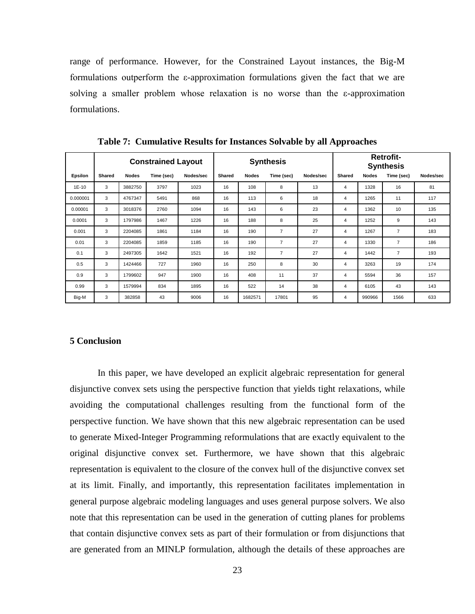range of performance. However, for the Constrained Layout instances, the Big-M formulations outperform the ε-approximation formulations given the fact that we are solving a smaller problem whose relaxation is no worse than the ε-approximation formulations.

|                |               |              | <b>Constrained Layout</b> |           | <b>Synthesis</b> |              |                |           | <b>Retrofit-</b><br><b>Synthesis</b> |              |                |           |
|----------------|---------------|--------------|---------------------------|-----------|------------------|--------------|----------------|-----------|--------------------------------------|--------------|----------------|-----------|
| <b>Epsilon</b> | <b>Shared</b> | <b>Nodes</b> | Time (sec)                | Nodes/sec | Shared           | <b>Nodes</b> | Time (sec)     | Nodes/sec | Shared                               | <b>Nodes</b> | Time (sec)     | Nodes/sec |
| $1E-10$        | 3             | 3882750      | 3797                      | 1023      | 16               | 108          | 8              | 13        | 4                                    | 1328         | 16             | 81        |
| 0.000001       | 3             | 4767347      | 5491                      | 868       | 16               | 113          | 6              | 18        | 4                                    | 1265         | 11             | 117       |
| 0.00001        | 3             | 3018376      | 2760                      | 1094      | 16               | 143          | 6              | 23        | 4                                    | 1362         | 10             | 135       |
| 0.0001         | 3             | 1797986      | 1467                      | 1226      | 16               | 188          | 8              | 25        | 4                                    | 1252         | 9              | 143       |
| 0.001          | 3             | 2204085      | 1861                      | 1184      | 16               | 190          | $\overline{7}$ | 27        | 4                                    | 1267         | $\overline{7}$ | 183       |
| 0.01           | 3             | 2204085      | 1859                      | 1185      | 16               | 190          | $\overline{7}$ | 27        | 4                                    | 1330         | $\overline{7}$ | 186       |
| 0.1            | 3             | 2497305      | 1642                      | 1521      | 16               | 192          | $\overline{7}$ | 27        | 4                                    | 1442         | $\overline{7}$ | 193       |
| 0.5            | 3             | 1424466      | 727                       | 1960      | 16               | 250          | 8              | 30        | 4                                    | 3263         | 19             | 174       |
| 0.9            | 3             | 1799602      | 947                       | 1900      | 16               | 408          | 11             | 37        | 4                                    | 5594         | 36             | 157       |
| 0.99           | 3             | 1579994      | 834                       | 1895      | 16               | 522          | 14             | 38        | 4                                    | 6105         | 43             | 143       |
| Big-M          | 3             | 382858       | 43                        | 9006      | 16               | 1682571      | 17801          | 95        | 4                                    | 990966       | 1566           | 633       |

**Table 7: Cumulative Results for Instances Solvable by all Approaches**

# **5 Conclusion**

In this paper, we have developed an explicit algebraic representation for general disjunctive convex sets using the perspective function that yields tight relaxations, while avoiding the computational challenges resulting from the functional form of the perspective function. We have shown that this new algebraic representation can be used to generate Mixed-Integer Programming reformulations that are exactly equivalent to the original disjunctive convex set. Furthermore, we have shown that this algebraic representation is equivalent to the closure of the convex hull of the disjunctive convex set at its limit. Finally, and importantly, this representation facilitates implementation in general purpose algebraic modeling languages and uses general purpose solvers. We also note that this representation can be used in the generation of cutting planes for problems that contain disjunctive convex sets as part of their formulation or from disjunctions that are generated from an MINLP formulation, although the details of these approaches are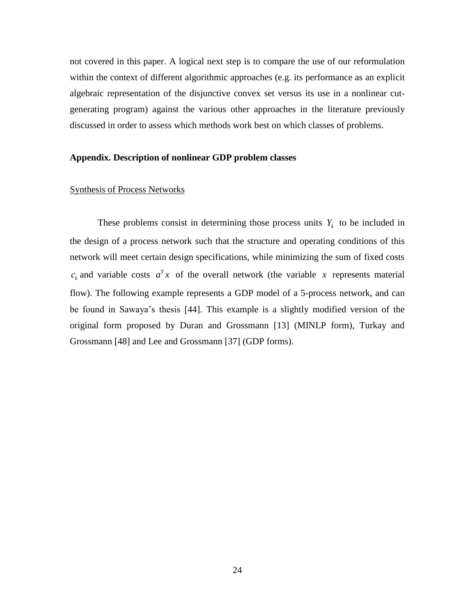not covered in this paper. A logical next step is to compare the use of our reformulation within the context of different algorithmic approaches (e.g. its performance as an explicit algebraic representation of the disjunctive convex set versus its use in a nonlinear cutgenerating program) against the various other approaches in the literature previously discussed in order to assess which methods work best on which classes of problems.

## **Appendix. Description of nonlinear GDP problem classes**

# Synthesis of Process Networks

These problems consist in determining those process units  $Y_k$  to be included in the design of a process network such that the structure and operating conditions of this network will meet certain design specifications, while minimizing the sum of fixed costs  $c_k$  and variable costs  $a^T x$  of the overall network (the variable x represents material flow). The following example represents a GDP model of a 5-process network, and can be found in Sawaya's thesis [44]. This example is a slightly modified version of the original form proposed by Duran and Grossmann [13] (MINLP form), Turkay and Grossmann [48] and Lee and Grossmann [37] (GDP forms).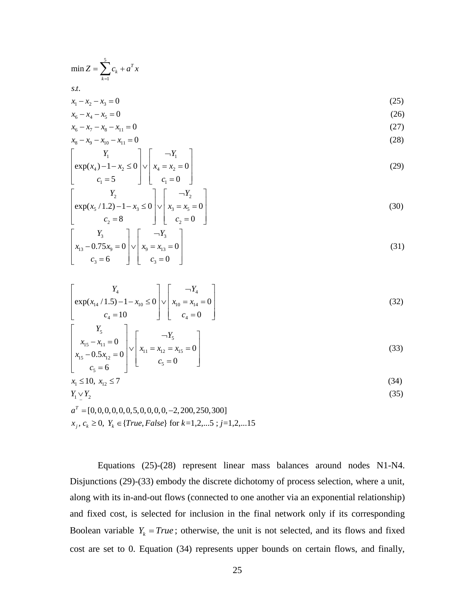$$
\min Z = \sum_{k=1}^{5} c_k + a^T x
$$
  
s.t.  

$$
x_1 - x_2 - x_3 = 0
$$
  

$$
x_1 - x_2 - x_3 = 0
$$
 (25)

$$
\sum_{k=1}^{n+1} c_k + a_n
$$
  
s.t.  
 $x_1 - x_2 - x_3 = 0$   
 $x_6 - x_4 - x_5 = 0$   
 $x_7 - x_8 - x_8 = 0$  (26)

$$
x_6 - x_4 - x_5 = 0 \tag{26}
$$

s.t.  
\n
$$
x_1 - x_2 - x_3 = 0
$$
 (25)  
\n $x_6 - x_4 - x_5 = 0$  (26)  
\n $x_6 - x_7 - x_8 - x_{11} = 0$  (27)  
\n $x_8 - x_9 - x_{10} - x_{11} = 0$  (28)

$$
x_{6} - x_{4} - x_{5} = 0
$$
\n
$$
x_{6} - x_{7} - x_{8} - x_{11} = 0
$$
\n
$$
x_{8} - x_{9} - x_{10} - x_{11} = 0
$$
\n
$$
\begin{bmatrix} Y_{1} \\ \exp(x_{4}) - 1 - x_{2} \le 0 \\ c_{1} = 5 \end{bmatrix} \vee \begin{bmatrix} -Y_{1} \\ x_{4} = x_{2} = 0 \\ c_{1} = 0 \end{bmatrix}
$$
\n
$$
(29)
$$
\n
$$
\begin{bmatrix} Y & 1 \\ 0 & Y \end{bmatrix} \begin{bmatrix} -Y \\ -Y \end{bmatrix}
$$

$$
\begin{bmatrix}\nY_1 & -Y_1 \\
\exp(x_4) - 1 - x_2 \le 0 & \sqrt{x_4 - x_2} = 0 \\
C_1 = 5 & \sqrt{x_4 - x_2} = 0\n\end{bmatrix}
$$
\n(29)  
\n
$$
\begin{bmatrix}\nY_2 & \exp(x_5 / 1.2) - 1 - x_3 \le 0 & \sqrt{x_3 - x_5} = 0 \\
C_2 = 8 & \sqrt{x_3 - x_5} = 0\n\end{bmatrix}
$$
\n(30)  
\n
$$
\begin{bmatrix}\nY_3 & \frac{1}{3} \\
x_{13} - 0.75x_9 = 0 & \sqrt{x_9 - x_{13}} = 0 \\
C_3 = 6 & \sqrt{x_3 - x_{13}} = 0\n\end{bmatrix}
$$
\n(31)

$$
c_2 = 8 \qquad \qquad \downarrow \qquad c_2 = 0 \qquad \downarrow
$$
\n
$$
x_3 \qquad \qquad x_{13} - 0.75x_9 = 0 \qquad \qquad \downarrow
$$
\n
$$
c_3 = 6 \qquad \qquad \downarrow
$$
\n
$$
c_4 = x_{13} = 0 \qquad \qquad \downarrow
$$
\n
$$
c_5 = 0 \qquad \qquad (31)
$$

$$
\begin{bmatrix}\n x_{13} - 0.75x_9 = 0 \\
 c_3 = 6\n\end{bmatrix} \begin{bmatrix}\n x_9 = x_{13} = 0 \\
 c_3 = 0\n\end{bmatrix}
$$
\n
$$
\begin{bmatrix}\n Y_4 \\
 \exp(x_{14}/1.5) - 1 - x_{10} \le 0 \\
 c_4 = 10\n\end{bmatrix} \begin{bmatrix}\n -Y_4 \\
 x_{10} = x_{14} = 0 \\
 c_4 = 0\n\end{bmatrix}
$$
\n(32)\n
$$
\begin{bmatrix}\n Y_5 \\
 x_{15} - x_{11} = 0 \\
 x_{10} = x_{15} = 0\n\end{bmatrix} \begin{bmatrix}\n -Y_5 \\
 x_{11} = x_{12} = x_{15} = 0\n\end{bmatrix}
$$
\n(33)

$$
\begin{bmatrix}\n\exp(x_{14}/1.5) - 1 - x_{10} \le 0 & \sqrt{x_{10}} = x_{14} = 0 \\
c_4 = 10 & c_5 = 0\n\end{bmatrix}\n\begin{bmatrix}\nY_5 \\
x_{15} - x_{11} = 0 \\
x_{15} - 0.5x_{12} = 0 \\
c_5 = 6\n\end{bmatrix}\n\begin{bmatrix}\n\n\end{bmatrix}\n\begin{bmatrix}\n\end{bmatrix}x_{11} = x_{12} = x_{15} = 0 \\
c_5 = 0\n\end{bmatrix}
$$
\n(33)  
\n(34)  
\n(35)  
\n(36)  
\n(37)

$$
\leq 10, x_1 \leq 7 \tag{34}
$$

$$
\vee Y_2 \tag{35}
$$

 $\begin{aligned} \n\begin{aligned}\n &\text{(0, } x_{12} \le 7 \\
 &\text{(0, 0, 0, 0, 0, 0, 5, 0, 0, 0, 0, -2, 200, 250, 300)} \\
 &\ge 0 \quad \text{V} \in \{ \text{True} \text{ False} \} \text{ for } k = 1, 2, 5 \cdot i = \n\end{aligned}\n\end{aligned}$  $x_1 \le 10, x_{12} \le 7$ <br>  $Y_1 \vee Y_2$ <br>  $a^T = [0, 0, 0, 0, 0, 0, 5, 0, 0, 0, 0, -2, 200, 250, 300]$ <br>  $x_j, c_k \ge 0, Y_k \in \{True, False\}$  for  $k=1,2,....5$ ;  $j=1,2,...15$ *T a*  $c_5 = 0$ <br>  $\le 10, x_{12} \le 7$ <br>  $\le Y_2$ <br>
= [0, 0, 0, 0, 0, 0, 5, 0, 0, 0, 0, 0, -2, 200, 250, 300<br>  $\le 20$   $Y_2 = {True \text{False}}$  for  $k = 1, 2, 5, ...$ 

Equations (25)-(28) represent linear mass balances around nodes N1-N4. Disjunctions (29)-(33) embody the discrete dichotomy of process selection, where a unit, along with its in-and-out flows (connected to one another via an exponential relationship) and fixed cost, is selected for inclusion in the final network only if its corresponding Boolean variable  $Y_k = True$ ; otherwise, the unit is not selected, and its flows and fixed cost are set to 0. Equation (34) represents upper bounds on certain flows, and finally,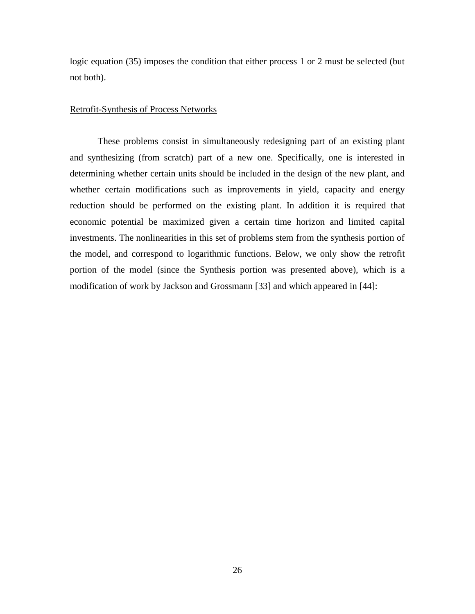logic equation (35) imposes the condition that either process 1 or 2 must be selected (but not both).

## Retrofit-Synthesis of Process Networks

These problems consist in simultaneously redesigning part of an existing plant and synthesizing (from scratch) part of a new one. Specifically, one is interested in determining whether certain units should be included in the design of the new plant, and whether certain modifications such as improvements in yield, capacity and energy reduction should be performed on the existing plant. In addition it is required that economic potential be maximized given a certain time horizon and limited capital investments. The nonlinearities in this set of problems stem from the synthesis portion of the model, and correspond to logarithmic functions. Below, we only show the retrofit portion of the model (since the Synthesis portion was presented above), which is a modification of work by Jackson and Grossmann [33] and which appeared in [44]: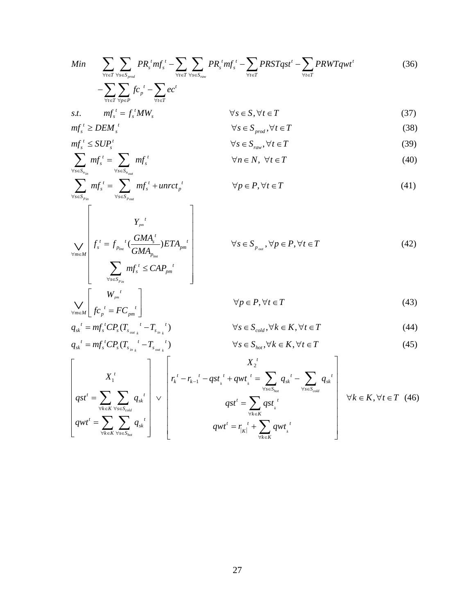$$
Min \sum_{\forall t \in T} \sum_{\forall s \in S_{prod}} PR_s^t m f_s^t - \sum_{\forall t \in T} \sum_{\forall s \in S_{num}} PR_s^t m f_s^t - \sum_{\forall t \in T} PRSTqst^t - \sum_{\forall t \in T} PRWTqwt^t
$$
(36)  
\n
$$
- \sum_{\forall t \in T} \sum_{\forall p \in P} f c_p^t - \sum_{\forall t \in T} ec^t
$$
  
\n
$$
st. \quad mf_s^t = f_s^t MW_s
$$
  
\n
$$
mf_s^t \ge DEM_s^t
$$
  
\n
$$
mf_s^t \ge DEM_s^t
$$
  
\n
$$
mf_s^t \le SUP_s^t
$$
  
\n
$$
mf_s^t \le SUP_s^t
$$
  
\n
$$
f_s \in S_{prod} df_s
$$
  
\n
$$
f_s \in S_{num}, \forall t \in T
$$
(39)  
\n
$$
\forall s \in S_{run}, \forall t \in T
$$
(39)  
\n
$$
\forall s \in N, \forall t \in T
$$
(40)

$$
\sum_{\forall t \in T} \sum_{\forall p \in P} J \cdot c_p \sum_{\forall t \in T} \epsilon c
$$
  
s.t. 
$$
mf_s^t = f_s^t MW_s \qquad \forall s \in S, \forall t \in T
$$
 (37)

$$
\forall t \in T \forall p \in P \qquad \forall t \in T
$$
\n
$$
s.t. \qquad mf_s^t = f_s^t M W_s \qquad \qquad \forall s \in S, \forall t \in T
$$
\n
$$
mf_s^t \ge DEM_s^t \qquad \qquad \forall s \in S_{prod}, \forall t \in T
$$
\n
$$
mf_s^t \le SUP_s^t \qquad \qquad \forall s \in S_{raw}, \forall t \in T
$$
\n
$$
\forall s \in S_{raw}, \forall t \in T
$$
\n
$$
(39)
$$
\n
$$
\forall s \in S_{raw} \forall t \in T
$$
\n
$$
(40)
$$

$$
mf_s^t \leq SUP_s^t \qquad \qquad \forall s \in S_{raw}, \forall t \in T \tag{39}
$$

$$
mf_s^t \ge DEM_s^t
$$
  
\n
$$
mf_s^t \le SUP_s^t
$$
  
\n
$$
mf_s^t \le SUP_s^t
$$
  
\n
$$
mf_s^t \le SUP_s^t
$$
  
\n
$$
\forall s \in S_{raw}, \forall t \in T
$$
  
\n
$$
\forall s \in S_{raw}, \forall t \in T
$$
  
\n
$$
\forall n \in N, \forall t \in T
$$
  
\n(39)  
\n
$$
\forall n \in N, \forall t \in T
$$
  
\n(40)

s.t. 
$$
mf_s^t = f_s^t MW_s
$$
  $\forall s \in S, \forall t \in T$  (37)  
\n $mf_s^t \ge DEM_s^t$   $\forall s \in S, \forall t \in T$  (38)  
\n $mf_s^t \le SUP_s^t$   $\forall s \in S_{prod}, \forall t \in T$  (39)  
\n $\sum_{\forall s \in S_{min}} mf_s^t = \sum_{\forall s \in S_{num}} mf_s^t$   $\forall n \in N, \forall t \in T$  (40)  
\n $\sum_{\forall s \in S_{pin}} mf_s^t = \sum_{\forall s \in S_{round}}$   $mf_s^t + unrot_p^t$   $\forall p \in P, \forall t \in T$  (41)

$$
\bigvee_{\forall m \in M} \left[ f_s^t = f_{p_{lmt}}^t \left( \frac{GMA_s^t}{GMA_{p_{lmt}}} \right) ETA_{pm}^t \right] \qquad \forall s \in S_{p_{out}}, \forall p \in P, \forall t \in T
$$
\n(42)\n
$$
\bigvee_{\forall s \in S_{p_{lm}}} mf_s^t \le CAP_{pm}^t \bigg] \qquad \forall p \in P, \forall t \in T
$$
\n(43)

*pin*

*t*

*pm*

*W*

$$
\left[\sum_{\forall s \in S_{p_{in}}} mf_s^t \le CAP_{pm}^{t}
$$
\n
$$
\sum_{\forall m \in M} \left[ \frac{W_{pm}^{t}}{fc_{p}^{t}} = FC_{pm}^{t} \right] \qquad \forall p \in P, \forall t \in T
$$
\n(43)

$$
\bigvee_{\forall s \in S_{p_{in}}} \left[ \begin{array}{c} W_{p^{m}}^{t} \leq CAP_{p^{m}}^{t} \\ \vdots \\ W_{p^{m}}^{t} \end{array} \right] \qquad \forall p \in P, \forall t \in T
$$
\n
$$
q_{sk}^{t} = m f_{s}^{t} CP_{s} (T_{s_{out}}^{t} - T_{s_{in}}^{t}) \qquad \forall s \in S_{cold}, \forall k \in K, \forall t \in T
$$
\n
$$
q_{sk}^{t} = m f_{s}^{t} CP_{s} (T_{s_{in}}^{t} - T_{s_{out}}^{t}) \qquad \forall s \in S_{hot}, \forall k \in K, \forall t \in T
$$
\n
$$
\bigwedge_{\forall s \in S_{hot}} \forall s \in S_{hot} \forall k \in K, \forall t \in T
$$
\n
$$
\bigwedge_{\forall s \in S_{hot}} \forall s \in S_{tot} \forall s \in K, \forall t \in T
$$
\n
$$
\bigwedge_{\forall s \in S_{hot}} \forall s \in S_{tot} \forall s \in K, \forall t \in T
$$
\n
$$
\bigwedge_{\forall s \in S_{hot}} \forall s \in S_{tot} \forall s \in K, \forall t \in T
$$
\n
$$
\bigwedge_{\forall s \in S_{hot}} \forall s \in S_{tot} \forall s \in K, \forall t \in T
$$
\n
$$
\bigwedge_{\forall s \in S_{hot}} \forall s \in S_{tot} \forall s \in K, \forall t \in T
$$
\n
$$
\bigwedge_{\forall s \in S_{tot}} \forall s \in S_{tot} \forall s \in K, \forall t \in T
$$
\n
$$
\bigwedge_{\forall s \in S_{tot}} \forall s \in S_{tot} \forall s \in K, \forall t \in T
$$
\n
$$
\bigwedge_{\forall s \in S_{tot}} \forall s \in S_{tot} \forall s \in K, \forall t \in T
$$
\n
$$
\bigwedge_{\forall s \in S_{tot}} \forall s \in S_{tot} \forall s \in K, \forall t \in T
$$
\n
$$
\bigwedge_{\forall s \in S_{tot}} \forall s \in S_{tot} \forall s \in K, \forall t \in T
$$
\n
$$
\bigwedge_{\forall s \in S_{tot}} \forall s \in S_{
$$

$$
s_k^{t} = mf_s^{t}CP_s(T_{s_{out_k}}^{t} - T_{s_{in_k}}^{t}) \qquad \forall s \in S_{cold}, \forall k \in K, \forall t \in T
$$
\n
$$
s_k^{t} = mf_s^{t}CP_s(T_{s_{in_k}}^{t} - T_{s_{out_k}}^{t}) \qquad \forall s \in S_{hot}, \forall k \in K, \forall t \in T
$$
\n
$$
\forall s \in S_{hot}, \forall k \in K, \forall t \in T
$$
\n
$$
(45)
$$

$$
q_{sk}^{t} = mf_{s}^{t}CP_{s}(T_{s_{out}}^{t} - T_{s_{in}}^{t}) \qquad \forall s \in S_{cold}, \forall k \in K, \forall t \in T
$$
\n
$$
q_{sk}^{t} = mf_{s}^{t}CP_{s}(T_{s_{out}}^{t} - T_{s_{out}}^{t}) \qquad \forall s \in S_{cold}, \forall k \in K, \forall t \in T
$$
\n
$$
X_{1}^{t}
$$
\n
$$
q_{st}^{t} = \sum_{\forall k \in K} \sum_{\forall s \in S_{cold}} q_{sk}^{t} \qquad \forall s \in T
$$
\n
$$
q_{st}^{t} = \sum_{\forall k \in K} \sum_{\forall s \in S_{cold}} q_{sk}^{t} \qquad \forall s \in T
$$
\n
$$
q_{st}^{t} = \sum_{\forall k \in K} \sum_{\forall s \in S_{cold}} q_{sk}^{t} \qquad \forall s \in T
$$
\n
$$
q_{st}^{t} = \sum_{\forall k \in K} q_{st}^{t}
$$
\n
$$
q_{st}^{t} = \sum_{\forall k \in K} \sum_{\forall s \in S_{hot}} q_{sk}^{t} \qquad \forall w_{k}^{t} = \sum_{\forall k \in K} q_{st}^{t}
$$
\n
$$
q_{st}^{t} = \sum_{\forall k \in K} \sum_{\forall s \in S_{hot}} q_{st}^{t}
$$
\n
$$
q_{st}^{t} = \sum_{\forall k \in K} \sum_{\forall s \in S_{hot}} q_{st}^{t}
$$
\n
$$
q_{st}^{t} = \sum_{\forall k \in K} \sum_{\forall s \in S_{hot}} q_{st}^{t}
$$
\n
$$
q_{st}^{t} = \sum_{\forall k \in K} \sum_{\forall s \in S_{hot}} q_{st}^{t}
$$
\n
$$
q_{st}^{t} = \sum_{\forall k \in K} \sum_{\forall s \in S_{hot}} q_{st}^{t}
$$
\n
$$
q_{st}^{t} = \sum_{\forall k \in K} \sum_{\forall s \in S_{hot}} q_{st}^{t}
$$
\n
$$
q_{st}^{t} = \sum_{\forall k \in K} \sum_{\forall s \in S_{hot}} q_{st}^{t}
$$
\n $$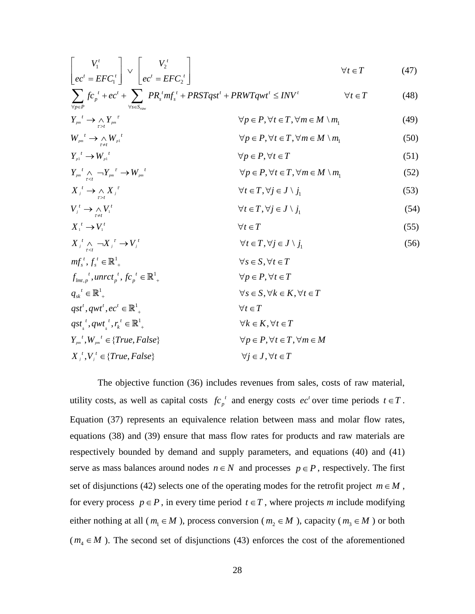$$
\begin{bmatrix}\nV_1^t & & \sqrt{t} \\
ec^t = EFC_1^t\n\end{bmatrix}\n\vee\n\begin{bmatrix}\nV_2^t & & \sqrt{t} \\
ec^t = EFC_2^t\n\end{bmatrix}\n\qquad\n\begin{aligned}\n\forall t \in T \qquad (47) \\
\sum_{\forall p \in P} fc_p^t + ec^t + \sum_{\forall s \in S_{raw}} PR_s^t m f_s^t + PRSTqst^t + PRWTqwt^t \leq INV^t\n\end{aligned}\n\qquad\n\begin{aligned}\n\forall t \in T \qquad (48)\n\end{aligned}
$$

$$
\left[ec^{t} = EFC_{1}^{t} \right] \left[ec^{t} = EFC_{2}^{t} \right]
$$
\n
$$
\sum_{\forall p \in P} fc_{p}^{t} + ec^{t} + \sum_{\forall s \in S_{raw}} PR_{s}^{t} mf_{s}^{t} + PRSTqst^{t} + PRWTqwt^{t} \leq INV^{t}
$$
\n
$$
\forall t \in T \qquad (48)
$$
\n
$$
Y_{pm}^{t} \rightarrow \bigwedge_{r \geq t} Y_{pm}^{r}
$$
\n
$$
\forall p \in P, \forall t \in T, \forall m \in M \setminus m_{1}
$$
\n
$$
W_{pm}^{t} \rightarrow \bigwedge_{r \neq t} W_{p1}^{t}
$$
\n
$$
\forall p \in P, \forall t \in T, \forall m \in M \setminus m_{1}
$$
\n
$$
(50)
$$

$$
\forall p \in P \qquad \forall s \in S_{raw} \qquad \forall p \in P, \forall t \in T, \forall m \in M \setminus m_1 \qquad (49)
$$
\n
$$
W_{pm}^t \to \wedge W_{pm}^t \qquad \forall p \in P, \forall t \in T, \forall m \in M \setminus m_1 \qquad (50)
$$

$$
Y_{pm}^{t} \to \underset{r \to t}{\wedge} Y_{pm}^{r}
$$
\n
$$
W_{pm}^{t} \to \underset{r \neq t}{\wedge} W_{p1}^{t}
$$
\n
$$
W_{pm}^{t} \to \underset{r \neq t}{\wedge} W_{p1}^{t}
$$
\n
$$
Y_{p} \in P, \forall t \in T, \forall m \in M \setminus m_{1}
$$
\n
$$
Y_{p1}^{t} \to W_{p1}^{t}
$$
\n
$$
\forall p \in P, \forall t \in T
$$
\n
$$
\forall p \in P, \forall t \in T
$$
\n(51)

$$
Y_{pm}^{t} \rightarrow \underset{r>t}{\wedge} Y_{pm}^{t} \qquad \forall p \in P, \forall t \in T, \forall m \in M \setminus m_{1} \tag{49}
$$
\n
$$
W_{pm}^{t} \rightarrow \underset{r \neq t}{\wedge} W_{pi}^{t} \qquad \forall p \in P, \forall t \in T, \forall m \in M \setminus m_{1} \tag{50}
$$
\n
$$
Y_{pm}^{t} \rightarrow W_{pi}^{t} \qquad \forall p \in P, \forall t \in T \tag{51}
$$
\n
$$
Y_{pm}^{t} \wedge \underset{r < t}{\rightarrow} Y_{pm}^{t} \rightarrow W_{pm}^{t} \qquad \forall p \in P, \forall t \in T, \forall m \in M \setminus m_{1} \tag{52}
$$

$$
Y_{p1}^{t} \rightarrow W_{p1}^{t} \qquad \forall p \in P, \forall t \in T
$$
\n
$$
Y_{pm}^{t} \land \neg Y_{pm}^{t} \rightarrow W_{pm}^{t}
$$
\n
$$
X_{j}^{t} \rightarrow \land X_{j}^{t}
$$
\n
$$
Y_{j}^{t} \rightarrow \land X_{j}^{t}
$$
\n
$$
Y_{j}^{t} \rightarrow \land Y_{j}^{t}
$$
\n
$$
Y_{j}^{t} \rightarrow \land Y_{j}^{t}
$$
\n
$$
Y_{j}^{t} \rightarrow \land Y_{j}^{t}
$$
\n
$$
Y_{j}^{t} \rightarrow \land Y_{j}^{t}
$$
\n
$$
Y_{j}^{t} \rightarrow \land Y_{j}^{t}
$$
\n
$$
Y_{j}^{t} \rightarrow \land Y_{j}^{t}
$$
\n
$$
Y_{j}^{t} \rightarrow Y_{j}^{t}
$$
\n
$$
Y_{j}^{t} \in T
$$
\n
$$
Y_{j}^{t} \in T
$$
\n
$$
Y_{j}^{t} \in T
$$
\n
$$
(55)
$$
\n
$$
Y_{j}^{t} \rightarrow Y_{j}^{t}
$$
\n
$$
Y_{j}^{t} \in T
$$
\n
$$
(56)
$$

$$
V_i^t \to \underset{\tau \neq t}{\wedge} V_i^t \qquad \qquad \forall t \in T, \forall j \in J \setminus j_1
$$
\n
$$
X_i^t \to V_i^t \qquad \qquad \forall t \in T \qquad (55)
$$

$$
V_{j}^{t} \rightarrow \bigwedge_{\tau \neq t} V_{1}^{t}
$$
\n
$$
X_{1}^{t} \rightarrow V_{1}^{t}
$$
\n
$$
X_{j}^{t} \rightarrow V_{1}^{t}
$$
\n
$$
X_{j}^{t} \rightarrow V_{1}^{t}
$$
\n
$$
Y_{j} \in T
$$
\n
$$
X_{j}^{t} \land \bigwedge_{\tau < t} X_{j}^{T} \rightarrow V_{j}^{t}
$$
\n
$$
Y_{j} \in T, \forall j \in J \setminus j_{1}
$$
\n
$$
Y_{j} \in T, \forall j \in J \setminus j_{1}
$$
\n
$$
Y_{j} \in S, \forall t \in T
$$
\n
$$
f_{lmt,p}^{t}, unrct_{p}^{t}, fc_{p}^{t} \in \mathbb{R}^{1}_{+}
$$
\n
$$
Y_{j} \in P, \forall t \in T
$$
\n
$$
Y_{j} \in T, Y_{j} \in T
$$
\n
$$
Y_{j} \in T, Y_{j} \in T
$$
\n
$$
Y_{j} \in T, Y_{j} \in T
$$
\n
$$
Y_{j} \in T, Y_{j} \in T
$$
\n
$$
Y_{j} \in T, Y_{j} \in T
$$
\n
$$
Y_{j} \in T, Y_{j} \in T
$$
\n
$$
Y_{j} \in T, Y_{j} \in T
$$
\n
$$
Y_{j} \in T, Y_{j} \in T
$$
\n
$$
Y_{j} \in T, Y_{j} \in T
$$
\n
$$
Y_{j} \in T, Y_{j} \in T
$$
\n
$$
Y_{j} \in T, Y_{j} \in T
$$
\n
$$
Y_{j} \in T, Y_{j} \in T
$$
\n
$$
Y_{j} \in T, Y_{j} \in T
$$
\n
$$
Y_{j} \in T, Y_{j} \in T
$$
\n
$$
Y_{j} \in T, Y_{j} \in T
$$
\n
$$
Y_{j} \in T, Y_{j} \in T
$$
\n
$$
Y_{j} \in T, Y_{j} \in T
$$
\n
$$
Y_{j}
$$

$$
mf_s^t, f_s^t \in \mathbb{R}^1_+
$$
  
\n
$$
f_{lmt,p}^t, unrct_p^t, fc_p^t \in \mathbb{R}^1_+
$$
  
\n
$$
q_{sk}^t \in \mathbb{R}^1_+
$$
  
\n
$$
q_{st}^t, qwt^t, ec^t \in \mathbb{R}^1_+
$$
  
\n
$$
q_{st}^t, qwt^t, ec^t \in \mathbb{R}^1_+
$$
  
\n
$$
V_s \in S, \forall k \in K, \forall t \in T
$$
  
\n
$$
q_{st}^t, qwt^t, ec^t \in \mathbb{R}^1_+
$$
  
\n
$$
V_t \in T
$$
  
\n
$$
Y_{pm}^t, W_{pm}^t \in \{True, False\}
$$
  
\n
$$
V_p \in P, \forall t \in T
$$
  
\n
$$
Y_{pm}^t, V_t \in T
$$
  
\n
$$
V_{pm}^t, V_t^t \in \{True, False\}
$$
  
\n
$$
V_p \in P, \forall t \in T, \forall m \in M
$$
  
\n
$$
X_j^t, V_j^t \in \{True, False\}
$$
  
\n
$$
V_j \in J, \forall t \in T
$$

The objective function (36) includes revenues from sales, costs of raw material, utility costs, as well as capital costs  $fc_n^{\ t}$  $fc_p^t$  and energy costs  $ec^t$  over time periods  $t \in T$ . Equation (37) represents an equivalence relation between mass and molar flow rates, equations (38) and (39) ensure that mass flow rates for products and raw materials are respectively bounded by demand and supply parameters, and equations (40) and (41) serve as mass balances around nodes  $n \in N$  and processes  $p \in P$ , respectively. The first set of disjunctions (42) selects one of the operating modes for the retrofit project  $m \in M$ , for every process  $p \in P$ , in every time period  $t \in T$ , where projects *m* include modifying either nothing at all ( $m_1 \in M$ ), process conversion ( $m_2 \in M$ ), capacity ( $m_3 \in M$ ) or both  $(m_4 \in M)$ . The second set of disjunctions (43) enforces the cost of the aforementioned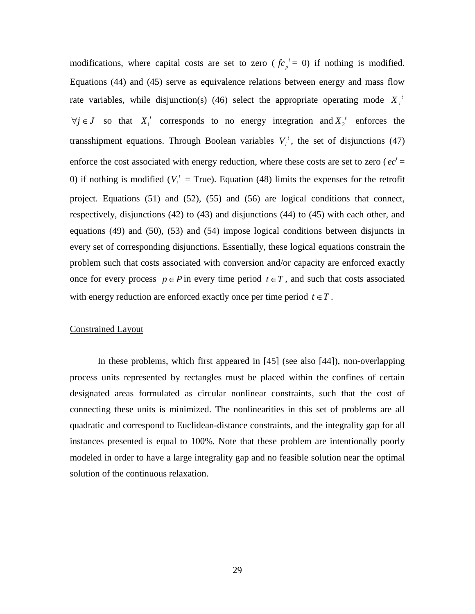modifications, where capital costs are set to zero ( $fc_n^{\ t}$  $fc_p^{\ t} = 0$ ) if nothing is modified. Equations (44) and (45) serve as equivalence relations between energy and mass flow rate variables, while disjunction(s) (46) select the appropriate operating mode  $X_i^t$  $\forall j \in J$  so that  $X_1^t$  corresponds to no energy integration and  $X_2^t$  enforces the transshipment equations. Through Boolean variables  $V_i^t$ , the set of disjunctions (47) enforce the cost associated with energy reduction, where these costs are set to zero ( $ec<sup>t</sup>$  = 0) if nothing is modified ( $V_1^t$  = True). Equation (48) limits the expenses for the retrofit project. Equations (51) and (52), (55) and (56) are logical conditions that connect, respectively, disjunctions (42) to (43) and disjunctions (44) to (45) with each other, and equations (49) and (50), (53) and (54) impose logical conditions between disjuncts in every set of corresponding disjunctions. Essentially, these logical equations constrain the problem such that costs associated with conversion and/or capacity are enforced exactly once for every process  $p \in P$  in every time period  $t \in T$ , and such that costs associated with energy reduction are enforced exactly once per time period  $t \in T$ .

# Constrained Layout

In these problems, which first appeared in [45] (see also [44]), non-overlapping process units represented by rectangles must be placed within the confines of certain designated areas formulated as circular nonlinear constraints, such that the cost of connecting these units is minimized. The nonlinearities in this set of problems are all quadratic and correspond to Euclidean-distance constraints, and the integrality gap for all instances presented is equal to 100%. Note that these problem are intentionally poorly modeled in order to have a large integrality gap and no feasible solution near the optimal solution of the continuous relaxation.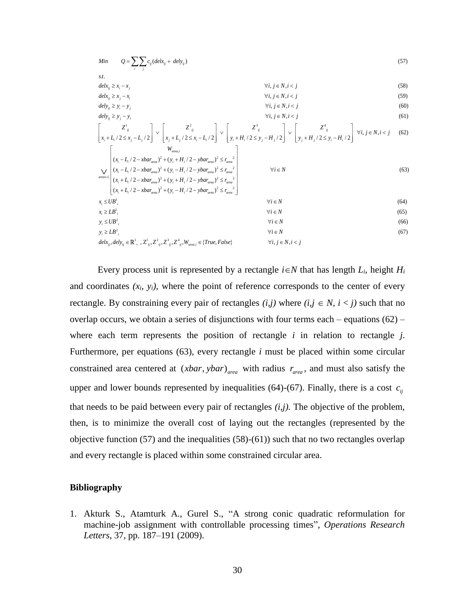$$
Min \t Q = \sum_{i} \sum_{j} c_{ij} (delx_{ij} + dely_{ij})
$$
\n*s.t.*\n
$$
detx_{ij} \ge x_{i} - x_{j}
$$
\n
$$
dety_{ij} \ge y_{j} - y_{j}
$$
\n
$$
dety_{ij} \ge y_{j} - y_{j}
$$
\n
$$
y_{i} \ne y_{i} \ge y_{j} - y_{j}
$$
\n
$$
\begin{bmatrix}\nZ_{ij}^{l} & Z_{ij}^{l} \\
x_{i} + L_{i}/2 \le x_{j} - L_{j}/2\n\end{bmatrix} \vee \begin{bmatrix}\nZ_{ij}^{2} & Z_{ij} & Z_{ij} \\
x_{j} + L_{j}/2 \le x_{j} - L_{j}/2\n\end{bmatrix} \vee \begin{bmatrix}\nZ_{ij}^{l} & Z_{ij}^{l} \\
y_{j} + H_{i}/2 \le y_{j} - H_{j}/2\n\end{bmatrix} \vee \begin{bmatrix}\nZ_{ij}^{l} & Z_{ij}^{l} \\
y_{j} + H_{j}/2 \le y_{j} - H_{j}/2\n\end{bmatrix} \vee \begin{bmatrix}\nZ_{ij}^{l} & Z_{ij}^{l} \\
y_{j} + H_{j}/2 \le y_{j} - H_{j}/2\n\end{bmatrix} \forall i, j \in N, i < j
$$
\n(61)\n
$$
\begin{bmatrix}\nZ_{ij}^{l} & Z_{ij}^{l} \\
x_{i} + L_{i}/2 \le x_{j} - L_{j}/2\n\end{bmatrix} \vee \begin{bmatrix}\nW_{area,i} \\
x_{i} + L_{j}/2 \le x_{j} - L_{j}/2\n\end{bmatrix} \vee \begin{bmatrix}\nZ_{ij}^{l} & Z_{ij}^{l} \\
y_{j} + H_{j}/2 \le y_{j} - H_{j}/2\n\end{bmatrix} \forall i, j \in N, i < j
$$
\n(62)\n
$$
\begin{bmatrix}\nW_{area,i} \\
x_{i} - L_{j}/2 - xbar_{area}y^{2} + (y_{i} + H_{j}/2 - ybar_{area}y^{2} \le r_{area}y^{2} \\
(x_{i} + L_{j}/2 - xbar_{area}y^{2} + (y_{i} + H_{j}/2 - ybar_{area}y^{2} \le r_{area}y^{2}) \\
x_{i} \le UB^{l},
$$

Every process unit is represented by a rectangle  $i \in N$  that has length  $L_i$ , height  $H_i$ and coordinates  $(x_i, y_i)$ , where the point of reference corresponds to the center of every rectangle. By constraining every pair of rectangles  $(i,j)$  where  $(i,j \in N, i < j)$  such that no overlap occurs, we obtain a series of disjunctions with four terms each – equations  $(62)$  – where each term represents the position of rectangle *i* in relation to rectangle *j*. Furthermore, per equations (63), every rectangle *i* must be placed within some circular constrained area centered at  $(xbar, ybar)$ <sub>area</sub> with radius  $r_{area}$ , and must also satisfy the upper and lower bounds represented by inequalities  $(64)-(67)$ . Finally, there is a cost  $c_{ij}$ that needs to be paid between every pair of rectangles  $(i, j)$ . The objective of the problem, then, is to minimize the overall cost of laying out the rectangles (represented by the objective function (57) and the inequalities (58)-(61)) such that no two rectangles overlap and every rectangle is placed within some constrained circular area.

# **Bibliography**

1. Akturk S., Atamturk A., Gurel S., "A strong conic quadratic reformulation for machine-job assignment with controllable processing times", *Operations Research Letters*, 37, pp. 187–191 (2009).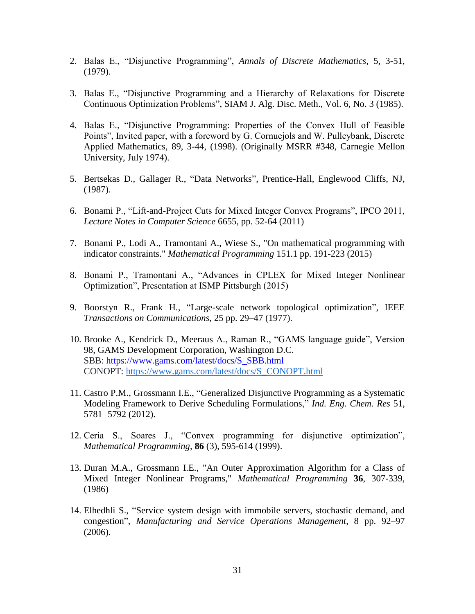- 2. Balas E., "Disjunctive Programming", *Annals of Discrete Mathematics*, 5, 3-51, (1979).
- 3. Balas E., "Disjunctive Programming and a Hierarchy of Relaxations for Discrete Continuous Optimization Problems", SIAM J. Alg. Disc. Meth., Vol. 6, No. 3 (1985).
- 4. Balas E., "Disjunctive Programming: Properties of the Convex Hull of Feasible Points", Invited paper, with a foreword by G. Cornuejols and W. Pulleybank, Discrete Applied Mathematics, 89, 3-44, (1998). (Originally MSRR #348, Carnegie Mellon University, July 1974).
- 5. Bertsekas D., Gallager R., "Data Networks", Prentice-Hall, Englewood Cliffs, NJ, (1987).
- 6. Bonami P., "Lift-and-Project Cuts for Mixed Integer Convex Programs", IPCO 2011, *Lecture Notes in Computer Science* 6655, pp. 52-64 (2011)
- 7. Bonami P., Lodi A., Tramontani A., Wiese S., "On mathematical programming with indicator constraints." *Mathematical Programming* 151.1 pp. 191-223 (2015)
- 8. Bonami P., Tramontani A., "Advances in CPLEX for Mixed Integer Nonlinear Optimization", Presentation at ISMP Pittsburgh (2015)
- 9. Boorstyn R., Frank H., "Large-scale network topological optimization", IEEE *Transactions on Communications*, 25 pp. 29–47 (1977).
- 10. Brooke A., Kendrick D., Meeraus A., Raman R., "GAMS language guide", Version 98, GAMS Development Corporation, Washington D.C. SBB: [https://www.gams.com/latest/docs/S\\_SBB.html](https://www.gams.com/latest/docs/S_SBB.html) CONOPT: [https://www.gams.com/latest/docs/S\\_CONOPT.html](https://www.gams.com/latest/docs/S_CONOPT.html)
- 11. Castro P.M., Grossmann I.E., "Generalized Disjunctive Programming as a Systematic Modeling Framework to Derive Scheduling Formulations," *Ind. Eng. Chem. Res* 51, 5781−5792 (2012).
- 12. Ceria S., Soares J., "Convex programming for disjunctive optimization", *Mathematical Programming*, **86** (3), 595-614 (1999).
- 13. Duran M.A., Grossmann I.E., "An Outer Approximation Algorithm for a Class of Mixed Integer Nonlinear Programs," *Mathematical Programming* **36**, 307-339, (1986)
- 14. Elhedhli S., "Service system design with immobile servers, stochastic demand, and congestion", *Manufacturing and Service Operations Management*, 8 pp. 92–97 (2006).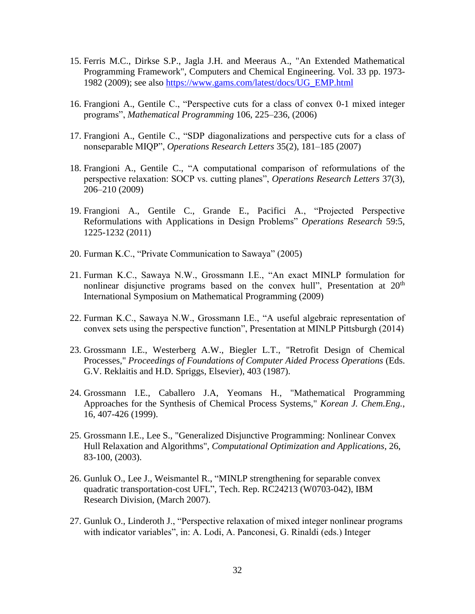- 15. Ferris M.C., Dirkse S.P., Jagla J.H. and Meeraus A., "An Extended Mathematical Programming Framework", Computers and Chemical Engineering. Vol. 33 pp. 1973- 1982 (2009); see also [https://www.gams.com/latest/docs/UG\\_EMP.html](https://www.gams.com/latest/docs/UG_EMP.html)
- 16. Frangioni A., Gentile C., "Perspective cuts for a class of convex 0-1 mixed integer programs", *Mathematical Programming* 106, 225–236, (2006)
- 17. Frangioni A., Gentile C., "SDP diagonalizations and perspective cuts for a class of nonseparable MIQP", *Operations Research Letters* 35(2), 181–185 (2007)
- 18. Frangioni A., Gentile C., "A computational comparison of reformulations of the perspective relaxation: SOCP vs. cutting planes", *Operations Research Letters* 37(3), 206–210 (2009)
- 19. Frangioni A., Gentile C., Grande E., Pacifici A., "Projected Perspective Reformulations with Applications in Design Problems" *Operations Research* 59:5, 1225-1232 (2011)
- 20. Furman K.C., "Private Communication to Sawaya" (2005)
- 21. Furman K.C., Sawaya N.W., Grossmann I.E., "An exact MINLP formulation for nonlinear disjunctive programs based on the convex hull", Presentation at  $20<sup>th</sup>$ International Symposium on Mathematical Programming (2009)
- 22. Furman K.C., Sawaya N.W., Grossmann I.E., "A useful algebraic representation of convex sets using the perspective function", Presentation at MINLP Pittsburgh (2014)
- 23. Grossmann I.E., Westerberg A.W., Biegler L.T., "Retrofit Design of Chemical Processes," *Proceedings of Foundations of Computer Aided Process Operations* (Eds. G.V. Reklaitis and H.D. Spriggs, Elsevier), 403 (1987).
- 24. Grossmann I.E., Caballero J.A, Yeomans H., "Mathematical Programming Approaches for the Synthesis of Chemical Process Systems," *Korean J. Chem.Eng.*, 16, 407-426 (1999).
- 25. Grossmann I.E., Lee S., "Generalized Disjunctive Programming: Nonlinear Convex Hull Relaxation and Algorithms", *Computational Optimization and Applications*, 26, 83-100, (2003).
- 26. Gunluk O., Lee J., Weismantel R., "MINLP strengthening for separable convex quadratic transportation-cost UFL", Tech. Rep. RC24213 (W0703-042), IBM Research Division, (March 2007).
- 27. Gunluk O., Linderoth J., "Perspective relaxation of mixed integer nonlinear programs with indicator variables", in: A. Lodi, A. Panconesi, G. Rinaldi (eds.) Integer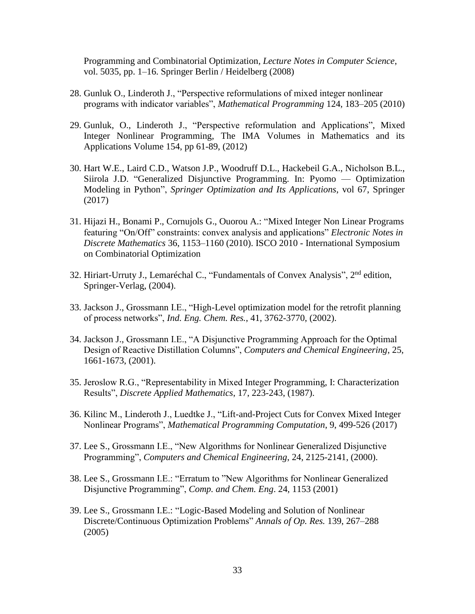Programming and Combinatorial Optimization*, Lecture Notes in Computer Science*, vol. 5035, pp. 1–16. Springer Berlin / Heidelberg (2008)

- 28. Gunluk O., Linderoth J., "Perspective reformulations of mixed integer nonlinear programs with indicator variables", *Mathematical Programming* 124, 183–205 (2010)
- 29. Gunluk, O., Linderoth J., "Perspective reformulation and Applications", [Mixed](http://link.springer.com/book/10.1007/978-1-4614-1927-3)  [Integer Nonlinear Programming,](http://link.springer.com/book/10.1007/978-1-4614-1927-3) [The IMA Volumes in Mathematics and its](http://link.springer.com/bookseries/811)  [Applications](http://link.springer.com/bookseries/811) Volume 154, pp 61-89, (2012)
- 30. Hart W.E., Laird C.D., Watson J.P., Woodruff D.L., Hackebeil G.A., Nicholson B.L., Siirola J.D. "Generalized Disjunctive Programming. In: Pyomo — Optimization Modeling in Python", *Springer Optimization and Its Applications*, vol 67, Springer (2017)
- 31. Hijazi H., Bonami P., Cornujols G., Ouorou A.: "Mixed Integer Non Linear Programs featuring "On/Off" constraints: convex analysis and applications" *Electronic Notes in Discrete Mathematics* 36, 1153–1160 (2010). ISCO 2010 - International Symposium on Combinatorial Optimization
- 32. Hiriart-Urruty J., Lemaréchal C., "Fundamentals of Convex Analysis", 2<sup>nd</sup> edition, Springer-Verlag, (2004).
- 33. Jackson J., Grossmann I.E., "High-Level optimization model for the retrofit planning of process networks", *Ind. Eng. Chem. Res.*, 41, 3762-3770, (2002).
- 34. Jackson J., Grossmann I.E., "A Disjunctive Programming Approach for the Optimal Design of Reactive Distillation Columns", *Computers and Chemical Engineering*, 25, 1661-1673, (2001).
- 35. Jeroslow R.G., "Representability in Mixed Integer Programming, I: Characterization Results", *Discrete Applied Mathematics*, 17, 223-243, (1987).
- 36. Kilinc M., Linderoth J., Luedtke J., "Lift-and-Project Cuts for Convex Mixed Integer Nonlinear Programs", *Mathematical Programming Computation*, 9, 499-526 (2017)
- 37. Lee S., Grossmann I.E., "New Algorithms for Nonlinear Generalized Disjunctive Programming", *Computers and Chemical Engineering*, 24, 2125-2141, (2000).
- 38. Lee S., Grossmann I.E.: "Erratum to "New Algorithms for Nonlinear Generalized Disjunctive Programming", *Comp. and Chem. Eng*. 24, 1153 (2001)
- 39. Lee S., Grossmann I.E.: "Logic-Based Modeling and Solution of Nonlinear Discrete/Continuous Optimization Problems" *Annals of Op. Res.* 139, 267–288 (2005)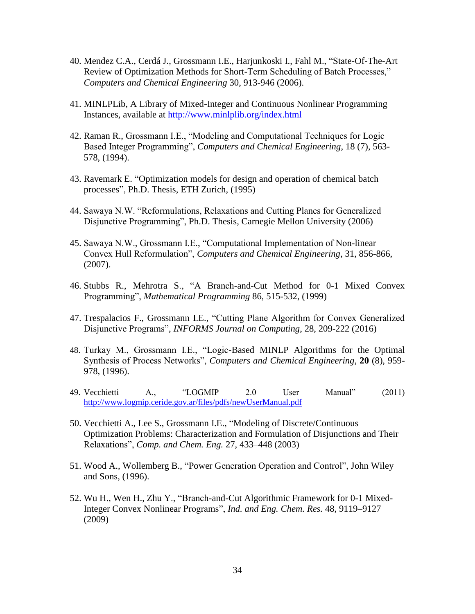- 40. Mendez C.A., Cerdá J., Grossmann I.E., Harjunkoski I., Fahl M., "State-Of-The-Art Review of Optimization Methods for Short-Term Scheduling of Batch Processes," *Computers and Chemical Engineering* 30, 913-946 (2006).
- 41. MINLPLib, A Library of Mixed-Integer and Continuous Nonlinear Programming Instances, available at<http://www.minlplib.org/index.html>
- 42. Raman R., Grossmann I.E., "Modeling and Computational Techniques for Logic Based Integer Programming", *Computers and Chemical Engineering*, 18 (7), 563- 578, (1994).
- 43. Ravemark E. "Optimization models for design and operation of chemical batch processes", Ph.D. Thesis, ETH Zurich, (1995)
- 44. Sawaya N.W. "Reformulations, Relaxations and Cutting Planes for Generalized Disjunctive Programming", Ph.D. Thesis, Carnegie Mellon University (2006)
- 45. Sawaya N.W., Grossmann I.E., "Computational Implementation of Non-linear Convex Hull Reformulation", *Computers and Chemical Engineering*, 31, 856-866, (2007).
- 46. Stubbs R., Mehrotra S., "A Branch-and-Cut Method for 0-1 Mixed Convex Programming", *Mathematical Programming* 86, 515-532, (1999)
- 47. Trespalacios F., Grossmann I.E., "Cutting Plane Algorithm for Convex Generalized Disjunctive Programs", *INFORMS Journal on Computing*, 28, 209-222 (2016)
- 48. Turkay M., Grossmann I.E., "Logic-Based MINLP Algorithms for the Optimal Synthesis of Process Networks", *Computers and Chemical Engineering*, **20** (8), 959- 978, (1996).
- 49. Vecchietti A., "LOGMIP 2.0 User Manual" (2011) <http://www.logmip.ceride.gov.ar/files/pdfs/newUserManual.pdf>
- 50. Vecchietti A., Lee S., Grossmann I.E., "Modeling of Discrete/Continuous Optimization Problems: Characterization and Formulation of Disjunctions and Their Relaxations", *Comp. and Chem. Eng.* 27, 433–448 (2003)
- 51. Wood A., Wollemberg B., "Power Generation Operation and Control", John Wiley and Sons, (1996).
- 52. Wu H., Wen H., Zhu Y., "Branch-and-Cut Algorithmic Framework for 0-1 Mixed-Integer Convex Nonlinear Programs", *Ind. and Eng. Chem. Res.* 48, 9119–9127 (2009)